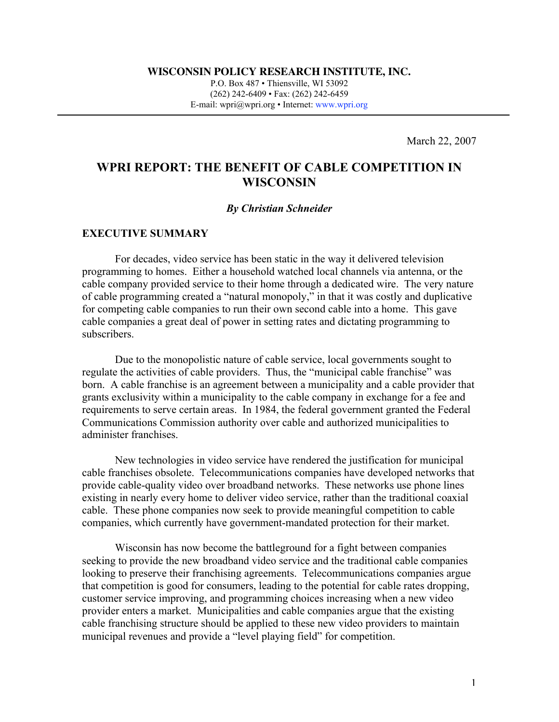**WISCONSIN POLICY RESEARCH INSTITUTE, INC.**

P.O. Box 487 • Thiensville, WI 53092 (262) 242-6409 • Fax: (262) 242-6459 E-mail: wpri@wpri.org • Internet: www.wpri.org

March 22, 2007

# **WPRI REPORT: THE BENEFIT OF CABLE COMPETITION IN WISCONSIN**

#### *By Christian Schneider*

#### **EXECUTIVE SUMMARY**

For decades, video service has been static in the way it delivered television programming to homes. Either a household watched local channels via antenna, or the cable company provided service to their home through a dedicated wire. The very nature of cable programming created a "natural monopoly," in that it was costly and duplicative for competing cable companies to run their own second cable into a home. This gave cable companies a great deal of power in setting rates and dictating programming to subscribers.

Due to the monopolistic nature of cable service, local governments sought to regulate the activities of cable providers. Thus, the "municipal cable franchise" was born. A cable franchise is an agreement between a municipality and a cable provider that grants exclusivity within a municipality to the cable company in exchange for a fee and requirements to serve certain areas. In 1984, the federal government granted the Federal Communications Commission authority over cable and authorized municipalities to administer franchises.

New technologies in video service have rendered the justification for municipal cable franchises obsolete. Telecommunications companies have developed networks that provide cable-quality video over broadband networks. These networks use phone lines existing in nearly every home to deliver video service, rather than the traditional coaxial cable. These phone companies now seek to provide meaningful competition to cable companies, which currently have government-mandated protection for their market.

Wisconsin has now become the battleground for a fight between companies seeking to provide the new broadband video service and the traditional cable companies looking to preserve their franchising agreements. Telecommunications companies argue that competition is good for consumers, leading to the potential for cable rates dropping, customer service improving, and programming choices increasing when a new video provider enters a market. Municipalities and cable companies argue that the existing cable franchising structure should be applied to these new video providers to maintain municipal revenues and provide a "level playing field" for competition.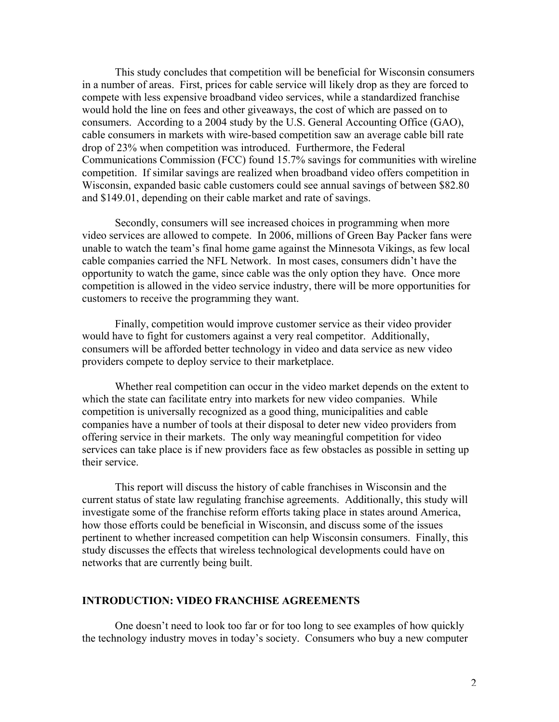This study concludes that competition will be beneficial for Wisconsin consumers in a number of areas. First, prices for cable service will likely drop as they are forced to compete with less expensive broadband video services, while a standardized franchise would hold the line on fees and other giveaways, the cost of which are passed on to consumers. According to a 2004 study by the U.S. General Accounting Office (GAO), cable consumers in markets with wire-based competition saw an average cable bill rate drop of 23% when competition was introduced. Furthermore, the Federal Communications Commission (FCC) found 15.7% savings for communities with wireline competition. If similar savings are realized when broadband video offers competition in Wisconsin, expanded basic cable customers could see annual savings of between \$82.80 and \$149.01, depending on their cable market and rate of savings.

Secondly, consumers will see increased choices in programming when more video services are allowed to compete. In 2006, millions of Green Bay Packer fans were unable to watch the team's final home game against the Minnesota Vikings, as few local cable companies carried the NFL Network. In most cases, consumers didn't have the opportunity to watch the game, since cable was the only option they have. Once more competition is allowed in the video service industry, there will be more opportunities for customers to receive the programming they want.

Finally, competition would improve customer service as their video provider would have to fight for customers against a very real competitor. Additionally, consumers will be afforded better technology in video and data service as new video providers compete to deploy service to their marketplace.

Whether real competition can occur in the video market depends on the extent to which the state can facilitate entry into markets for new video companies. While competition is universally recognized as a good thing, municipalities and cable companies have a number of tools at their disposal to deter new video providers from offering service in their markets. The only way meaningful competition for video services can take place is if new providers face as few obstacles as possible in setting up their service.

This report will discuss the history of cable franchises in Wisconsin and the current status of state law regulating franchise agreements. Additionally, this study will investigate some of the franchise reform efforts taking place in states around America, how those efforts could be beneficial in Wisconsin, and discuss some of the issues pertinent to whether increased competition can help Wisconsin consumers. Finally, this study discusses the effects that wireless technological developments could have on networks that are currently being built.

### **INTRODUCTION: VIDEO FRANCHISE AGREEMENTS**

One doesn't need to look too far or for too long to see examples of how quickly the technology industry moves in today's society. Consumers who buy a new computer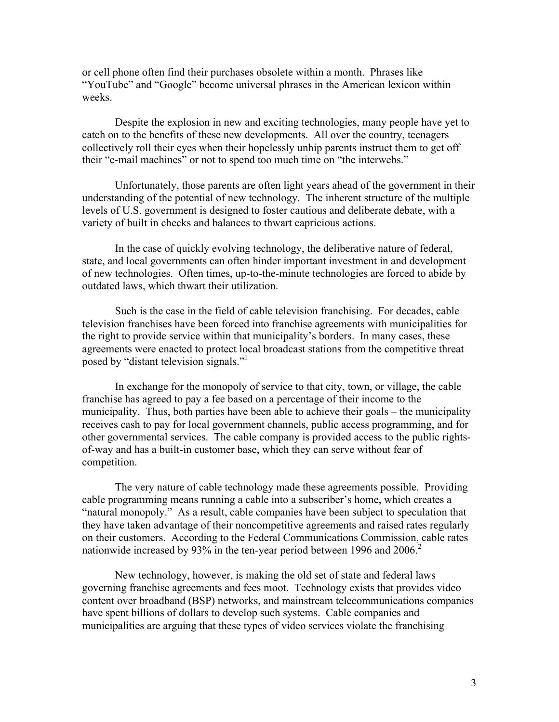or cell phone often find their purchases obsolete within a month. Phrases like "YouTube" and "Google" become universal phrases in the American lexicon within weeks.

Despite the explosion in new and exciting technologies, many people have yet to catch on to the benefits of these new developments. All over the country, teenagers collectively roll their eyes when their hopelessly unhip parents instruct them to get off their "e-mail machines" or not to spend too much time on "the interwebs."

Unfortunately, those parents are often light years ahead of the government in their understanding of the potential of new technology. The inherent structure of the multiple levels of U.S. government is designed to foster cautious and deliberate debate, with a variety of built in checks and balances to thwart capricious actions.

In the case of quickly evolving technology, the deliberative nature of federal, state, and local governments can often hinder important investment in and development of new technologies. Often times, up-to-the-minute technologies are forced to abide by outdated laws, which thwart their utilization.

Such is the case in the field of cable television franchising. For decades, cable television franchises have been forced into franchise agreements with municipalities for the right to provide service within that municipality's borders. In many cases, these agreements were enacted to protect local broadcast stations from the competitive threat posed by "distant television signals."<sup>1</sup>

In exchange for the monopoly of service to that city, town, or village, the cable franchise has agreed to pay a fee based on a percentage of their income to the municipality. Thus, both parties have been able to achieve their goals – the municipality receives cash to pay for local government channels, public access programming, and for other governmental services. The cable company is provided access to the public rightsof-way and has a built-in customer base, which they can serve without fear of competition.

The very nature of cable technology made these agreements possible. Providing cable programming means running a cable into a subscriber's home, which creates a "natural monopoly." As a result, cable companies have been subject to speculation that they have taken advantage of their noncompetitive agreements and raised rates regularly on their customers. According to the Federal Communications Commission, cable rates nationwide increased by 93% in the ten-year period between 1996 and 2006.<sup>2</sup>

New technology, however, is making the old set of state and federal laws governing franchise agreements and fees moot. Technology exists that provides video content over broadband (BSP) networks, and mainstream telecommunications companies have spent billions of dollars to develop such systems. Cable companies and municipalities are arguing that these types of video services violate the franchising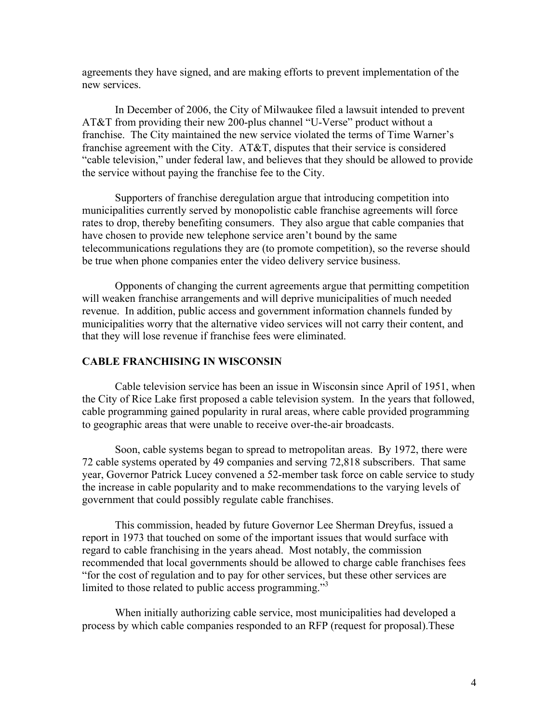agreements they have signed, and are making efforts to prevent implementation of the new services.

In December of 2006, the City of Milwaukee filed a lawsuit intended to prevent AT&T from providing their new 200-plus channel "U-Verse" product without a franchise. The City maintained the new service violated the terms of Time Warner's franchise agreement with the City. AT&T, disputes that their service is considered "cable television," under federal law, and believes that they should be allowed to provide the service without paying the franchise fee to the City.

Supporters of franchise deregulation argue that introducing competition into municipalities currently served by monopolistic cable franchise agreements will force rates to drop, thereby benefiting consumers. They also argue that cable companies that have chosen to provide new telephone service aren't bound by the same telecommunications regulations they are (to promote competition), so the reverse should be true when phone companies enter the video delivery service business.

Opponents of changing the current agreements argue that permitting competition will weaken franchise arrangements and will deprive municipalities of much needed revenue. In addition, public access and government information channels funded by municipalities worry that the alternative video services will not carry their content, and that they will lose revenue if franchise fees were eliminated.

## **CABLE FRANCHISING IN WISCONSIN**

Cable television service has been an issue in Wisconsin since April of 1951, when the City of Rice Lake first proposed a cable television system. In the years that followed, cable programming gained popularity in rural areas, where cable provided programming to geographic areas that were unable to receive over-the-air broadcasts.

Soon, cable systems began to spread to metropolitan areas. By 1972, there were 72 cable systems operated by 49 companies and serving 72,818 subscribers. That same year, Governor Patrick Lucey convened a 52-member task force on cable service to study the increase in cable popularity and to make recommendations to the varying levels of government that could possibly regulate cable franchises.

This commission, headed by future Governor Lee Sherman Dreyfus, issued a report in 1973 that touched on some of the important issues that would surface with regard to cable franchising in the years ahead. Most notably, the commission recommended that local governments should be allowed to charge cable franchises fees "for the cost of regulation and to pay for other services, but these other services are limited to those related to public access programming."<sup>3</sup>

When initially authorizing cable service, most municipalities had developed a process by which cable companies responded to an RFP (request for proposal).These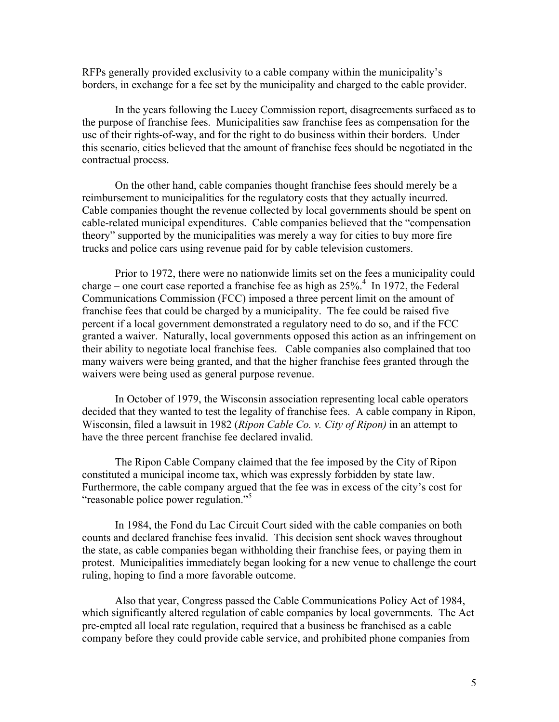RFPs generally provided exclusivity to a cable company within the municipality's borders, in exchange for a fee set by the municipality and charged to the cable provider.

In the years following the Lucey Commission report, disagreements surfaced as to the purpose of franchise fees. Municipalities saw franchise fees as compensation for the use of their rights-of-way, and for the right to do business within their borders. Under this scenario, cities believed that the amount of franchise fees should be negotiated in the contractual process.

On the other hand, cable companies thought franchise fees should merely be a reimbursement to municipalities for the regulatory costs that they actually incurred. Cable companies thought the revenue collected by local governments should be spent on cable-related municipal expenditures. Cable companies believed that the "compensation theory" supported by the municipalities was merely a way for cities to buy more fire trucks and police cars using revenue paid for by cable television customers.

Prior to 1972, there were no nationwide limits set on the fees a municipality could charge – one court case reported a franchise fee as high as  $25\%$ <sup>4</sup>. In 1972, the Federal Communications Commission (FCC) imposed a three percent limit on the amount of franchise fees that could be charged by a municipality. The fee could be raised five percent if a local government demonstrated a regulatory need to do so, and if the FCC granted a waiver. Naturally, local governments opposed this action as an infringement on their ability to negotiate local franchise fees. Cable companies also complained that too many waivers were being granted, and that the higher franchise fees granted through the waivers were being used as general purpose revenue.

In October of 1979, the Wisconsin association representing local cable operators decided that they wanted to test the legality of franchise fees. A cable company in Ripon, Wisconsin, filed a lawsuit in 1982 (*Ripon Cable Co. v. City of Ripon)* in an attempt to have the three percent franchise fee declared invalid.

The Ripon Cable Company claimed that the fee imposed by the City of Ripon constituted a municipal income tax, which was expressly forbidden by state law. Furthermore, the cable company argued that the fee was in excess of the city's cost for "reasonable police power regulation."<sup>5</sup>

In 1984, the Fond du Lac Circuit Court sided with the cable companies on both counts and declared franchise fees invalid. This decision sent shock waves throughout the state, as cable companies began withholding their franchise fees, or paying them in protest. Municipalities immediately began looking for a new venue to challenge the court ruling, hoping to find a more favorable outcome.

Also that year, Congress passed the Cable Communications Policy Act of 1984, which significantly altered regulation of cable companies by local governments. The Act pre-empted all local rate regulation, required that a business be franchised as a cable company before they could provide cable service, and prohibited phone companies from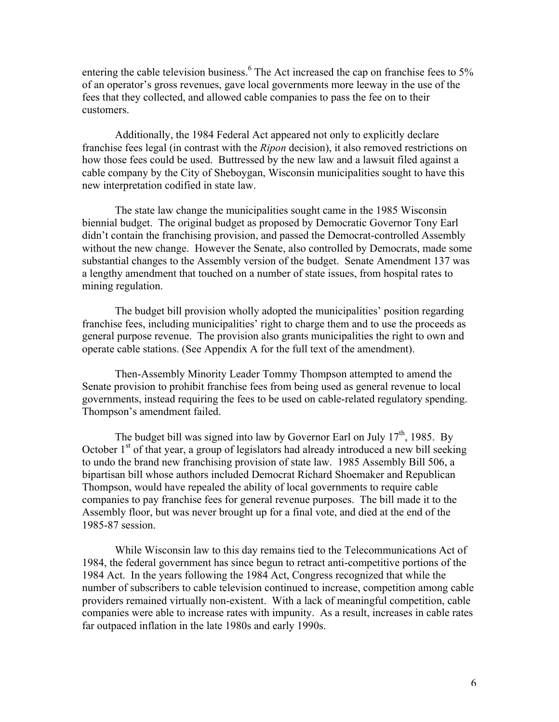entering the cable television business.<sup>6</sup> The Act increased the cap on franchise fees to 5% of an operator's gross revenues, gave local governments more leeway in the use of the fees that they collected, and allowed cable companies to pass the fee on to their customers.

Additionally, the 1984 Federal Act appeared not only to explicitly declare franchise fees legal (in contrast with the *Ripon* decision), it also removed restrictions on how those fees could be used. Buttressed by the new law and a lawsuit filed against a cable company by the City of Sheboygan, Wisconsin municipalities sought to have this new interpretation codified in state law.

The state law change the municipalities sought came in the 1985 Wisconsin biennial budget. The original budget as proposed by Democratic Governor Tony Earl didn't contain the franchising provision, and passed the Democrat-controlled Assembly without the new change. However the Senate, also controlled by Democrats, made some substantial changes to the Assembly version of the budget. Senate Amendment 137 was a lengthy amendment that touched on a number of state issues, from hospital rates to mining regulation.

The budget bill provision wholly adopted the municipalities' position regarding franchise fees, including municipalities' right to charge them and to use the proceeds as general purpose revenue. The provision also grants municipalities the right to own and operate cable stations. (See Appendix A for the full text of the amendment).

Then-Assembly Minority Leader Tommy Thompson attempted to amend the Senate provision to prohibit franchise fees from being used as general revenue to local governments, instead requiring the fees to be used on cable-related regulatory spending. Thompson's amendment failed.

The budget bill was signed into law by Governor Earl on July  $17<sup>th</sup>$ , 1985. By October  $1<sup>st</sup>$  of that year, a group of legislators had already introduced a new bill seeking to undo the brand new franchising provision of state law. 1985 Assembly Bill 506, a bipartisan bill whose authors included Democrat Richard Shoemaker and Republican Thompson, would have repealed the ability of local governments to require cable companies to pay franchise fees for general revenue purposes. The bill made it to the Assembly floor, but was never brought up for a final vote, and died at the end of the 1985-87 session.

While Wisconsin law to this day remains tied to the Telecommunications Act of 1984, the federal government has since begun to retract anti-competitive portions of the 1984 Act. In the years following the 1984 Act, Congress recognized that while the number of subscribers to cable television continued to increase, competition among cable providers remained virtually non-existent. With a lack of meaningful competition, cable companies were able to increase rates with impunity. As a result, increases in cable rates far outpaced inflation in the late 1980s and early 1990s.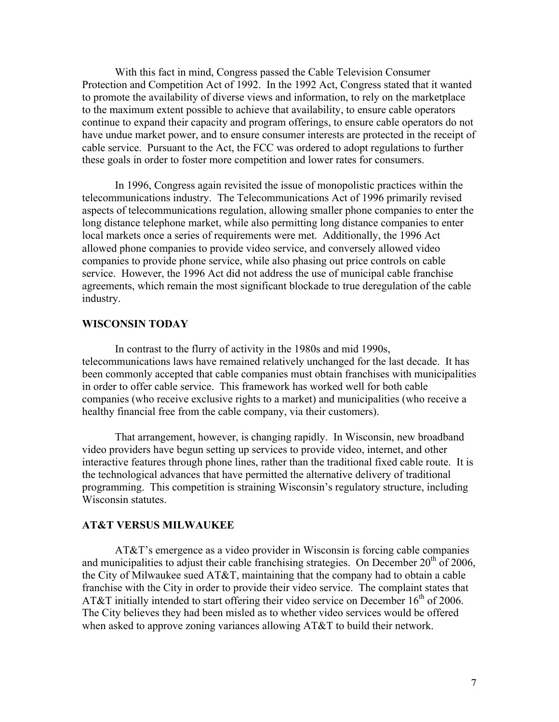With this fact in mind, Congress passed the Cable Television Consumer Protection and Competition Act of 1992. In the 1992 Act, Congress stated that it wanted to promote the availability of diverse views and information, to rely on the marketplace to the maximum extent possible to achieve that availability, to ensure cable operators continue to expand their capacity and program offerings, to ensure cable operators do not have undue market power, and to ensure consumer interests are protected in the receipt of cable service. Pursuant to the Act, the FCC was ordered to adopt regulations to further these goals in order to foster more competition and lower rates for consumers.

In 1996, Congress again revisited the issue of monopolistic practices within the telecommunications industry. The Telecommunications Act of 1996 primarily revised aspects of telecommunications regulation, allowing smaller phone companies to enter the long distance telephone market, while also permitting long distance companies to enter local markets once a series of requirements were met. Additionally, the 1996 Act allowed phone companies to provide video service, and conversely allowed video companies to provide phone service, while also phasing out price controls on cable service. However, the 1996 Act did not address the use of municipal cable franchise agreements, which remain the most significant blockade to true deregulation of the cable industry.

## **WISCONSIN TODAY**

In contrast to the flurry of activity in the 1980s and mid 1990s, telecommunications laws have remained relatively unchanged for the last decade. It has been commonly accepted that cable companies must obtain franchises with municipalities in order to offer cable service. This framework has worked well for both cable companies (who receive exclusive rights to a market) and municipalities (who receive a healthy financial free from the cable company, via their customers).

That arrangement, however, is changing rapidly. In Wisconsin, new broadband video providers have begun setting up services to provide video, internet, and other interactive features through phone lines, rather than the traditional fixed cable route. It is the technological advances that have permitted the alternative delivery of traditional programming. This competition is straining Wisconsin's regulatory structure, including Wisconsin statutes.

#### **AT&T VERSUS MILWAUKEE**

AT&T's emergence as a video provider in Wisconsin is forcing cable companies and municipalities to adjust their cable franchising strategies. On December  $20<sup>th</sup>$  of 2006, the City of Milwaukee sued AT&T, maintaining that the company had to obtain a cable franchise with the City in order to provide their video service. The complaint states that AT&T initially intended to start offering their video service on December  $16<sup>th</sup>$  of 2006. The City believes they had been misled as to whether video services would be offered when asked to approve zoning variances allowing AT&T to build their network.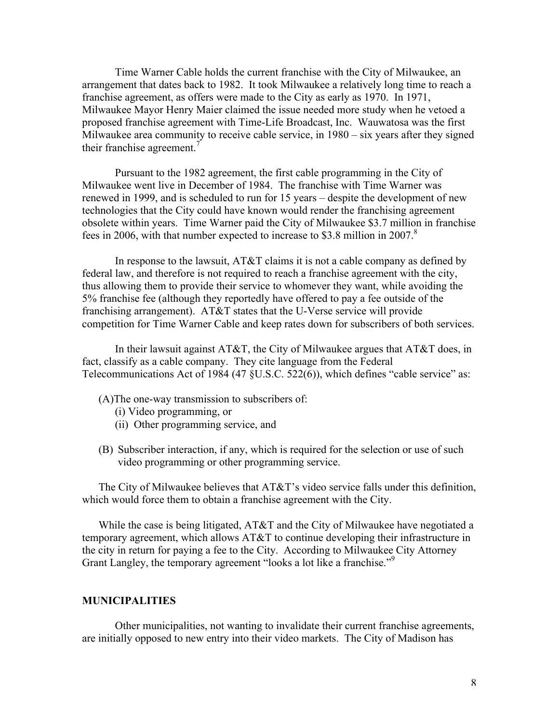Time Warner Cable holds the current franchise with the City of Milwaukee, an arrangement that dates back to 1982. It took Milwaukee a relatively long time to reach a franchise agreement, as offers were made to the City as early as 1970. In 1971, Milwaukee Mayor Henry Maier claimed the issue needed more study when he vetoed a proposed franchise agreement with Time-Life Broadcast, Inc. Wauwatosa was the first Milwaukee area community to receive cable service, in 1980 – six years after they signed their franchise agreement.<sup>7</sup>

Pursuant to the 1982 agreement, the first cable programming in the City of Milwaukee went live in December of 1984. The franchise with Time Warner was renewed in 1999, and is scheduled to run for 15 years – despite the development of new technologies that the City could have known would render the franchising agreement obsolete within years. Time Warner paid the City of Milwaukee \$3.7 million in franchise fees in 2006, with that number expected to increase to \$3.8 million in 2007.<sup>8</sup>

In response to the lawsuit, AT&T claims it is not a cable company as defined by federal law, and therefore is not required to reach a franchise agreement with the city, thus allowing them to provide their service to whomever they want, while avoiding the 5% franchise fee (although they reportedly have offered to pay a fee outside of the franchising arrangement). AT&T states that the U-Verse service will provide competition for Time Warner Cable and keep rates down for subscribers of both services.

In their lawsuit against  $AT&T$ , the City of Milwaukee argues that  $AT&T$  does, in fact, classify as a cable company. They cite language from the Federal Telecommunications Act of 1984 (47 §U.S.C. 522(6)), which defines "cable service" as:

- (A)The one-way transmission to subscribers of:
	- (i) Video programming, or
	- (ii) Other programming service, and
- (B) Subscriber interaction, if any, which is required for the selection or use of such video programming or other programming service.

The City of Milwaukee believes that AT&T's video service falls under this definition, which would force them to obtain a franchise agreement with the City.

While the case is being litigated, AT&T and the City of Milwaukee have negotiated a temporary agreement, which allows AT&T to continue developing their infrastructure in the city in return for paying a fee to the City. According to Milwaukee City Attorney Grant Langley, the temporary agreement "looks a lot like a franchise."<sup>9</sup>

#### **MUNICIPALITIES**

Other municipalities, not wanting to invalidate their current franchise agreements, are initially opposed to new entry into their video markets. The City of Madison has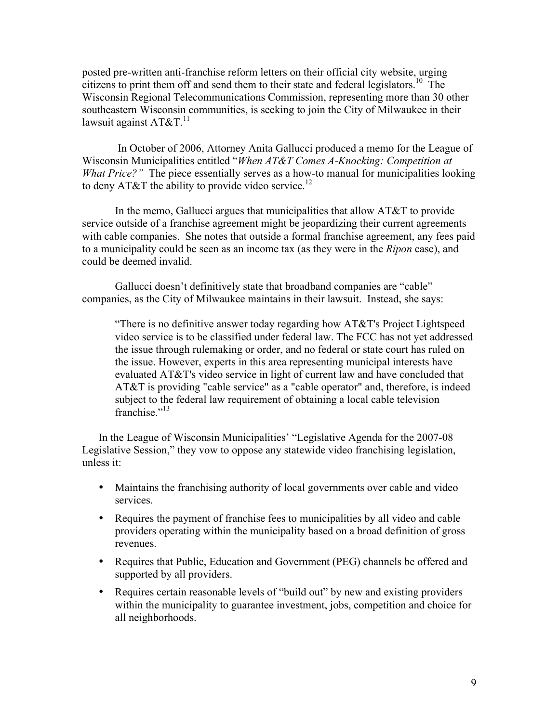posted pre-written anti-franchise reform letters on their official city website, urging citizens to print them off and send them to their state and federal legislators.<sup>10</sup> The Wisconsin Regional Telecommunications Commission, representing more than 30 other southeastern Wisconsin communities, is seeking to join the City of Milwaukee in their lawsuit against  $AT&T$ <sup>11</sup>

 In October of 2006, Attorney Anita Gallucci produced a memo for the League of Wisconsin Municipalities entitled "*When AT&T Comes A-Knocking: Competition at What Price?*" The piece essentially serves as a how-to manual for municipalities looking to deny AT&T the ability to provide video service.<sup>12</sup>

In the memo, Gallucci argues that municipalities that allow AT&T to provide service outside of a franchise agreement might be jeopardizing their current agreements with cable companies. She notes that outside a formal franchise agreement, any fees paid to a municipality could be seen as an income tax (as they were in the *Ripon* case), and could be deemed invalid.

Gallucci doesn't definitively state that broadband companies are "cable" companies, as the City of Milwaukee maintains in their lawsuit. Instead, she says:

"There is no definitive answer today regarding how AT&T's Project Lightspeed video service is to be classified under federal law. The FCC has not yet addressed the issue through rulemaking or order, and no federal or state court has ruled on the issue. However, experts in this area representing municipal interests have evaluated AT&T's video service in light of current law and have concluded that AT&T is providing "cable service" as a "cable operator" and, therefore, is indeed subject to the federal law requirement of obtaining a local cable television franchise."<sup>13</sup>

In the League of Wisconsin Municipalities' "Legislative Agenda for the 2007-08 Legislative Session," they vow to oppose any statewide video franchising legislation, unless it:

- Maintains the franchising authority of local governments over cable and video services.
- Requires the payment of franchise fees to municipalities by all video and cable providers operating within the municipality based on a broad definition of gross revenues.
- Requires that Public, Education and Government (PEG) channels be offered and supported by all providers.
- Requires certain reasonable levels of "build out" by new and existing providers within the municipality to guarantee investment, jobs, competition and choice for all neighborhoods.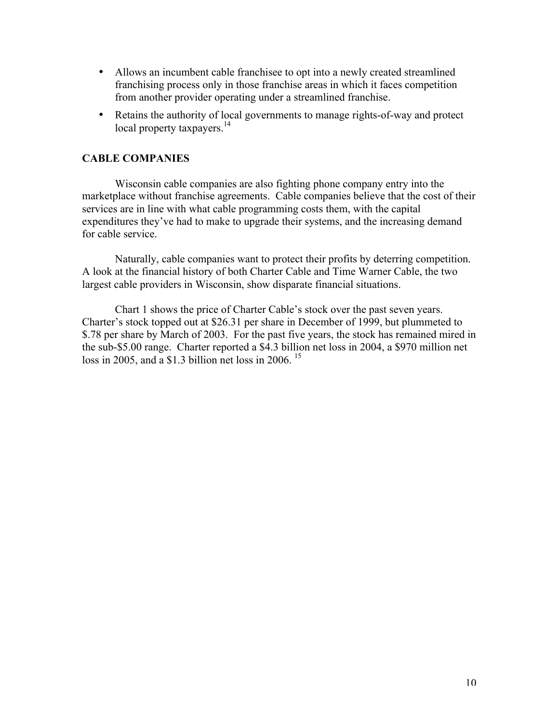- Allows an incumbent cable franchisee to opt into a newly created streamlined franchising process only in those franchise areas in which it faces competition from another provider operating under a streamlined franchise.
- Retains the authority of local governments to manage rights-of-way and protect local property taxpayers. $14$

## **CABLE COMPANIES**

Wisconsin cable companies are also fighting phone company entry into the marketplace without franchise agreements. Cable companies believe that the cost of their services are in line with what cable programming costs them, with the capital expenditures they've had to make to upgrade their systems, and the increasing demand for cable service.

Naturally, cable companies want to protect their profits by deterring competition. A look at the financial history of both Charter Cable and Time Warner Cable, the two largest cable providers in Wisconsin, show disparate financial situations.

Chart 1 shows the price of Charter Cable's stock over the past seven years. Charter's stock topped out at \$26.31 per share in December of 1999, but plummeted to \$.78 per share by March of 2003. For the past five years, the stock has remained mired in the sub-\$5.00 range. Charter reported a \$4.3 billion net loss in 2004, a \$970 million net loss in 2005, and a \$1.3 billion net loss in 2006.  $15$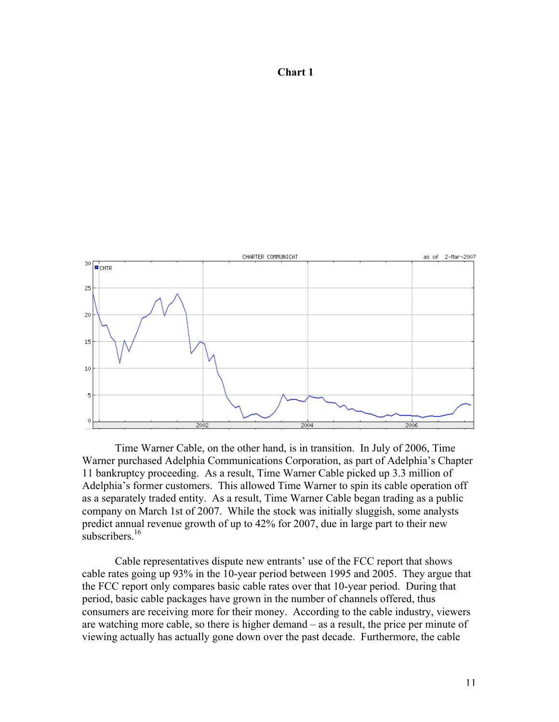## **Chart 1**



Time Warner Cable, on the other hand, is in transition. In July of 2006, Time Warner purchased Adelphia Communications Corporation, as part of Adelphia's Chapter 11 bankruptcy proceeding. As a result, Time Warner Cable picked up 3.3 million of Adelphia's former customers. This allowed Time Warner to spin its cable operation off as a separately traded entity. As a result, Time Warner Cable began trading as a public company on March 1st of 2007. While the stock was initially sluggish, some analysts predict annual revenue growth of up to 42% for 2007, due in large part to their new subscribers. $16$ 

Cable representatives dispute new entrants' use of the FCC report that shows cable rates going up 93% in the 10-year period between 1995 and 2005. They argue that the FCC report only compares basic cable rates over that 10-year period. During that period, basic cable packages have grown in the number of channels offered, thus consumers are receiving more for their money. According to the cable industry, viewers are watching more cable, so there is higher demand – as a result, the price per minute of viewing actually has actually gone down over the past decade. Furthermore, the cable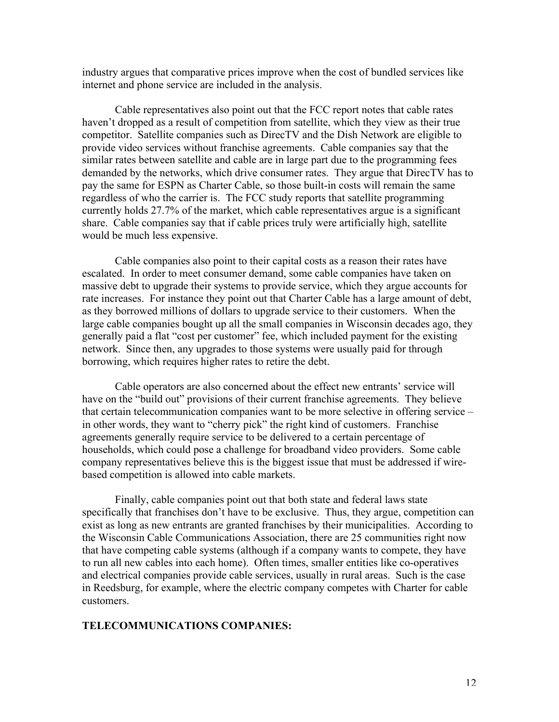industry argues that comparative prices improve when the cost of bundled services like internet and phone service are included in the analysis.

Cable representatives also point out that the FCC report notes that cable rates haven't dropped as a result of competition from satellite, which they view as their true competitor. Satellite companies such as DirecTV and the Dish Network are eligible to provide video services without franchise agreements. Cable companies say that the similar rates between satellite and cable are in large part due to the programming fees demanded by the networks, which drive consumer rates. They argue that DirecTV has to pay the same for ESPN as Charter Cable, so those built-in costs will remain the same regardless of who the carrier is. The FCC study reports that satellite programming currently holds 27.7% of the market, which cable representatives argue is a significant share. Cable companies say that if cable prices truly were artificially high, satellite would be much less expensive.

Cable companies also point to their capital costs as a reason their rates have escalated. In order to meet consumer demand, some cable companies have taken on massive debt to upgrade their systems to provide service, which they argue accounts for rate increases. For instance they point out that Charter Cable has a large amount of debt, as they borrowed millions of dollars to upgrade service to their customers. When the large cable companies bought up all the small companies in Wisconsin decades ago, they generally paid a flat "cost per customer" fee, which included payment for the existing network. Since then, any upgrades to those systems were usually paid for through borrowing, which requires higher rates to retire the debt.

Cable operators are also concerned about the effect new entrants' service will have on the "build out" provisions of their current franchise agreements. They believe that certain telecommunication companies want to be more selective in offering service – in other words, they want to "cherry pick" the right kind of customers. Franchise agreements generally require service to be delivered to a certain percentage of households, which could pose a challenge for broadband video providers. Some cable company representatives believe this is the biggest issue that must be addressed if wirebased competition is allowed into cable markets.

Finally, cable companies point out that both state and federal laws state specifically that franchises don't have to be exclusive. Thus, they argue, competition can exist as long as new entrants are granted franchises by their municipalities. According to the Wisconsin Cable Communications Association, there are 25 communities right now that have competing cable systems (although if a company wants to compete, they have to run all new cables into each home). Often times, smaller entities like co-operatives and electrical companies provide cable services, usually in rural areas. Such is the case in Reedsburg, for example, where the electric company competes with Charter for cable customers.

## **TELECOMMUNICATIONS COMPANIES:**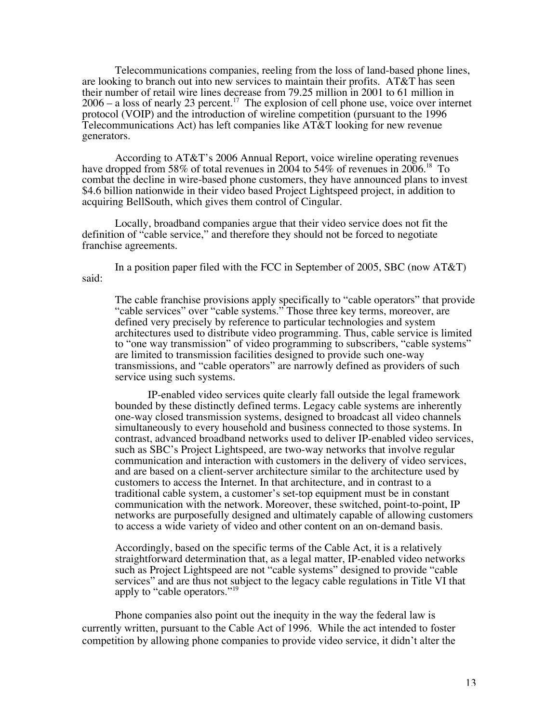Telecommunications companies, reeling from the loss of land-based phone lines, are looking to branch out into new services to maintain their profits. AT&T has seen their number of retail wire lines decrease from 79.25 million in 2001 to 61 million in  $2006 - a$  loss of nearly 23 percent.<sup>17</sup> The explosion of cell phone use, voice over internet protocol (VOIP) and the introduction of wireline competition (pursuant to the 1996 Telecommunications Act) has left companies like AT&T looking for new revenue generators.

According to AT&T's 2006 Annual Report, voice wireline operating revenues have dropped from 58% of total revenues in 2004 to 54% of revenues in 2006.<sup>18</sup> To combat the decline in wire-based phone customers, they have announced plans to invest \$4.6 billion nationwide in their video based Project Lightspeed project, in addition to acquiring BellSouth, which gives them control of Cingular.

Locally, broadband companies argue that their video service does not fit the definition of "cable service," and therefore they should not be forced to negotiate franchise agreements.

In a position paper filed with the FCC in September of 2005, SBC (now AT&T) said:

The cable franchise provisions apply specifically to "cable operators" that provide "cable services" over "cable systems." Those three key terms, moreover, are defined very precisely by reference to particular technologies and system architectures used to distribute video programming. Thus, cable service is limited to "one way transmission" of video programming to subscribers, "cable systems" are limited to transmission facilities designed to provide such one-way transmissions, and "cable operators" are narrowly defined as providers of such service using such systems.

IP-enabled video services quite clearly fall outside the legal framework bounded by these distinctly defined terms. Legacy cable systems are inherently one-way closed transmission systems, designed to broadcast all video channels simultaneously to every household and business connected to those systems. In contrast, advanced broadband networks used to deliver IP-enabled video services, such as SBC's Project Lightspeed, are two-way networks that involve regular communication and interaction with customers in the delivery of video services, and are based on a client-server architecture similar to the architecture used by customers to access the Internet. In that architecture, and in contrast to a traditional cable system, a customer's set-top equipment must be in constant communication with the network. Moreover, these switched, point-to-point, IP networks are purposefully designed and ultimately capable of allowing customers to access a wide variety of video and other content on an on-demand basis.

Accordingly, based on the specific terms of the Cable Act, it is a relatively straightforward determination that, as a legal matter, IP-enabled video networks such as Project Lightspeed are not "cable systems" designed to provide "cable services" and are thus not subject to the legacy cable regulations in Title VI that apply to "cable operators."<sup>19</sup>

Phone companies also point out the inequity in the way the federal law is currently written, pursuant to the Cable Act of 1996. While the act intended to foster competition by allowing phone companies to provide video service, it didn't alter the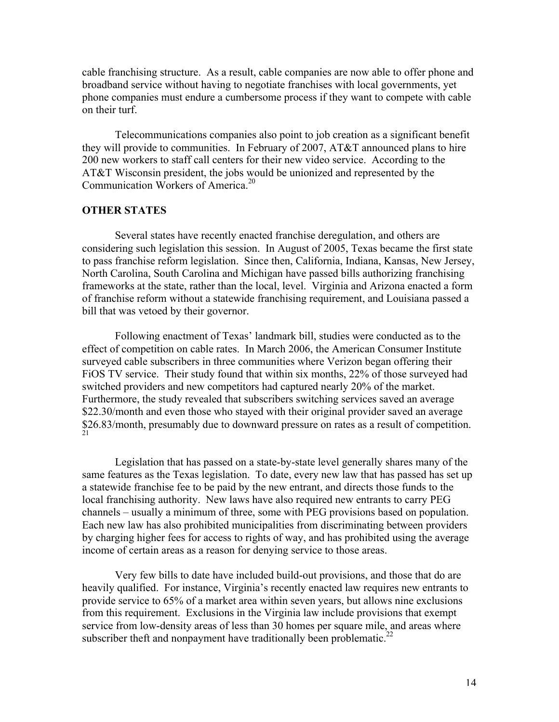cable franchising structure. As a result, cable companies are now able to offer phone and broadband service without having to negotiate franchises with local governments, yet phone companies must endure a cumbersome process if they want to compete with cable on their turf.

Telecommunications companies also point to job creation as a significant benefit they will provide to communities. In February of 2007, AT&T announced plans to hire 200 new workers to staff call centers for their new video service. According to the AT&T Wisconsin president, the jobs would be unionized and represented by the Communication Workers of America.20

## **OTHER STATES**

Several states have recently enacted franchise deregulation, and others are considering such legislation this session. In August of 2005, Texas became the first state to pass franchise reform legislation. Since then, California, Indiana, Kansas, New Jersey, North Carolina, South Carolina and Michigan have passed bills authorizing franchising frameworks at the state, rather than the local, level. Virginia and Arizona enacted a form of franchise reform without a statewide franchising requirement, and Louisiana passed a bill that was vetoed by their governor.

Following enactment of Texas' landmark bill, studies were conducted as to the effect of competition on cable rates. In March 2006, the American Consumer Institute surveyed cable subscribers in three communities where Verizon began offering their FiOS TV service. Their study found that within six months, 22% of those surveyed had switched providers and new competitors had captured nearly 20% of the market. Furthermore, the study revealed that subscribers switching services saved an average \$22.30/month and even those who stayed with their original provider saved an average \$26.83/month, presumably due to downward pressure on rates as a result of competition.

Legislation that has passed on a state-by-state level generally shares many of the same features as the Texas legislation. To date, every new law that has passed has set up a statewide franchise fee to be paid by the new entrant, and directs those funds to the local franchising authority. New laws have also required new entrants to carry PEG channels – usually a minimum of three, some with PEG provisions based on population. Each new law has also prohibited municipalities from discriminating between providers by charging higher fees for access to rights of way, and has prohibited using the average income of certain areas as a reason for denying service to those areas.

Very few bills to date have included build-out provisions, and those that do are heavily qualified. For instance, Virginia's recently enacted law requires new entrants to provide service to 65% of a market area within seven years, but allows nine exclusions from this requirement. Exclusions in the Virginia law include provisions that exempt service from low-density areas of less than 30 homes per square mile, and areas where subscriber theft and nonpayment have traditionally been problematic.<sup>22</sup>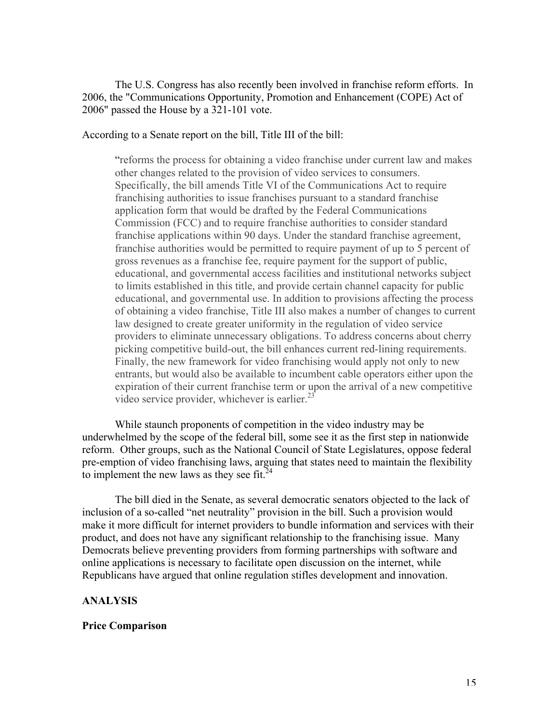The U.S. Congress has also recently been involved in franchise reform efforts. In 2006, the "Communications Opportunity, Promotion and Enhancement (COPE) Act of 2006" passed the House by a 321-101 vote.

According to a Senate report on the bill, Title III of the bill:

"reforms the process for obtaining a video franchise under current law and makes other changes related to the provision of video services to consumers. Specifically, the bill amends Title VI of the Communications Act to require franchising authorities to issue franchises pursuant to a standard franchise application form that would be drafted by the Federal Communications Commission (FCC) and to require franchise authorities to consider standard franchise applications within 90 days. Under the standard franchise agreement, franchise authorities would be permitted to require payment of up to 5 percent of gross revenues as a franchise fee, require payment for the support of public, educational, and governmental access facilities and institutional networks subject to limits established in this title, and provide certain channel capacity for public educational, and governmental use. In addition to provisions affecting the process of obtaining a video franchise, Title III also makes a number of changes to current law designed to create greater uniformity in the regulation of video service providers to eliminate unnecessary obligations. To address concerns about cherry picking competitive build-out, the bill enhances current red-lining requirements. Finally, the new framework for video franchising would apply not only to new entrants, but would also be available to incumbent cable operators either upon the expiration of their current franchise term or upon the arrival of a new competitive video service provider, whichever is earlier. $^{23}$ 

While staunch proponents of competition in the video industry may be underwhelmed by the scope of the federal bill, some see it as the first step in nationwide reform. Other groups, such as the National Council of State Legislatures, oppose federal pre-emption of video franchising laws, arguing that states need to maintain the flexibility to implement the new laws as they see fit. $24$ 

The bill died in the Senate, as several democratic senators objected to the lack of inclusion of a so-called "net neutrality" provision in the bill. Such a provision would make it more difficult for internet providers to bundle information and services with their product, and does not have any significant relationship to the franchising issue. Many Democrats believe preventing providers from forming partnerships with software and online applications is necessary to facilitate open discussion on the internet, while Republicans have argued that online regulation stifles development and innovation.

#### **ANALYSIS**

#### **Price Comparison**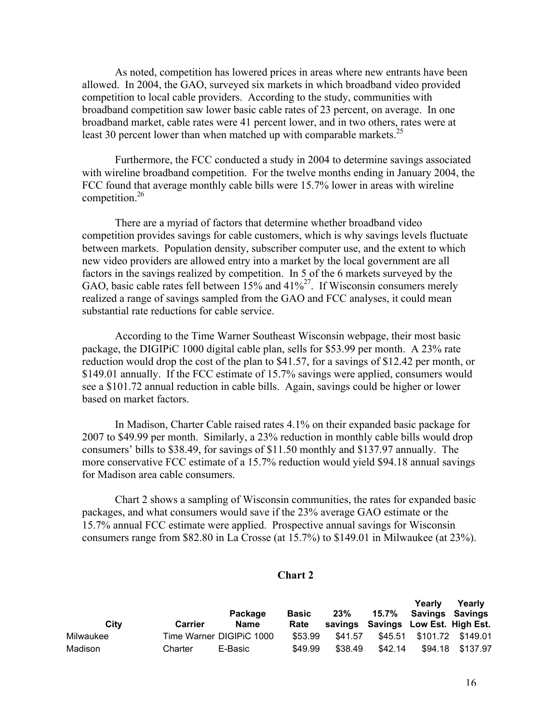As noted, competition has lowered prices in areas where new entrants have been allowed. In 2004, the GAO, surveyed six markets in which broadband video provided competition to local cable providers. According to the study, communities with broadband competition saw lower basic cable rates of 23 percent, on average. In one broadband market, cable rates were 41 percent lower, and in two others, rates were at least 30 percent lower than when matched up with comparable markets.<sup>25</sup>

Furthermore, the FCC conducted a study in 2004 to determine savings associated with wireline broadband competition. For the twelve months ending in January 2004, the FCC found that average monthly cable bills were 15.7% lower in areas with wireline competition.26

There are a myriad of factors that determine whether broadband video competition provides savings for cable customers, which is why savings levels fluctuate between markets. Population density, subscriber computer use, and the extent to which new video providers are allowed entry into a market by the local government are all factors in the savings realized by competition. In 5 of the 6 markets surveyed by the GAO, basic cable rates fell between  $15\%$  and  $41\%^{27}$ . If Wisconsin consumers merely realized a range of savings sampled from the GAO and FCC analyses, it could mean substantial rate reductions for cable service.

According to the Time Warner Southeast Wisconsin webpage, their most basic package, the DIGIPiC 1000 digital cable plan, sells for \$53.99 per month. A 23% rate reduction would drop the cost of the plan to \$41.57, for a savings of \$12.42 per month, or \$149.01 annually. If the FCC estimate of 15.7% savings were applied, consumers would see a \$101.72 annual reduction in cable bills. Again, savings could be higher or lower based on market factors.

In Madison, Charter Cable raised rates 4.1% on their expanded basic package for 2007 to \$49.99 per month. Similarly, a 23% reduction in monthly cable bills would drop consumers' bills to \$38.49, for savings of \$11.50 monthly and \$137.97 annually. The more conservative FCC estimate of a 15.7% reduction would yield \$94.18 annual savings for Madison area cable consumers.

Chart 2 shows a sampling of Wisconsin communities, the rates for expanded basic packages, and what consumers would save if the 23% average GAO estimate or the 15.7% annual FCC estimate were applied. Prospective annual savings for Wisconsin consumers range from \$82.80 in La Crosse (at 15.7%) to \$149.01 in Milwaukee (at 23%).

#### **Chart 2**

| City      | <b>Carrier</b> | Package<br><b>Name</b>   | <b>Basic</b><br>Rate | 23%     | 15.7%   | <b>Yearly</b><br>Savings Savings<br>savings Savings Low Est. High Est. | <b>reariv</b>    |
|-----------|----------------|--------------------------|----------------------|---------|---------|------------------------------------------------------------------------|------------------|
| Milwaukee |                | Time Warner DIGIPIC 1000 | \$53.99              | \$41.57 |         | \$45.51 \$101.72 \$149.01                                              |                  |
| Madison   | Charter        | E-Basic                  | \$49.99              | \$38.49 | \$42.14 |                                                                        | \$94.18 \$137.97 |

**Yearly**

**Yearly**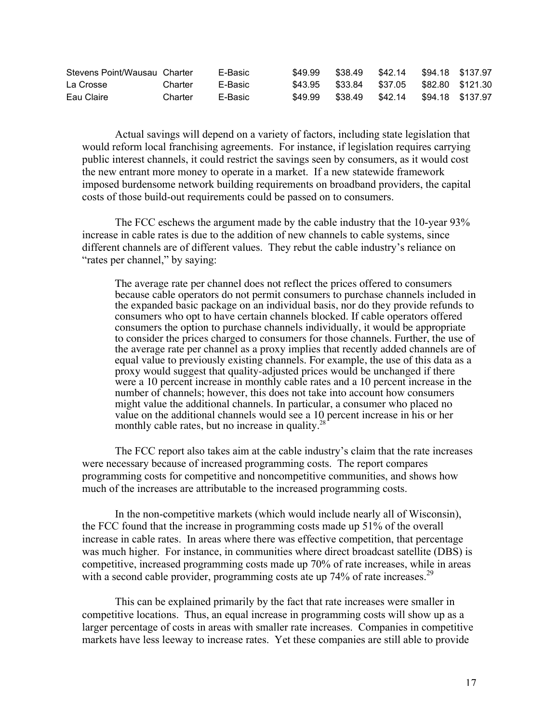| Stevens Point/Wausau Charter |         | E-Basic | \$49.99 | \$38.49                                  | \$42.14 \$94.18 \$137.97 |  |
|------------------------------|---------|---------|---------|------------------------------------------|--------------------------|--|
| La Crosse                    | Charter | E-Basic |         | \$43.95 \$33.84 \$37.05 \$82.80 \$121.30 |                          |  |
| Eau Claire                   | Charter | E-Basic | \$49.99 | \$38.49                                  | \$42.14 \$94.18 \$137.97 |  |

Actual savings will depend on a variety of factors, including state legislation that would reform local franchising agreements. For instance, if legislation requires carrying public interest channels, it could restrict the savings seen by consumers, as it would cost the new entrant more money to operate in a market. If a new statewide framework imposed burdensome network building requirements on broadband providers, the capital costs of those build-out requirements could be passed on to consumers.

The FCC eschews the argument made by the cable industry that the 10-year 93% increase in cable rates is due to the addition of new channels to cable systems, since different channels are of different values. They rebut the cable industry's reliance on "rates per channel," by saying:

The average rate per channel does not reflect the prices offered to consumers because cable operators do not permit consumers to purchase channels included in the expanded basic package on an individual basis, nor do they provide refunds to consumers who opt to have certain channels blocked. If cable operators offered consumers the option to purchase channels individually, it would be appropriate to consider the prices charged to consumers for those channels. Further, the use of the average rate per channel as a proxy implies that recently added channels are of equal value to previously existing channels. For example, the use of this data as a proxy would suggest that quality-adjusted prices would be unchanged if there were a 10 percent increase in monthly cable rates and a 10 percent increase in the number of channels; however, this does not take into account how consumers might value the additional channels. In particular, a consumer who placed no value on the additional channels would see a 10 percent increase in his or her monthly cable rates, but no increase in quality. $^{28}$ 

The FCC report also takes aim at the cable industry's claim that the rate increases were necessary because of increased programming costs. The report compares programming costs for competitive and noncompetitive communities, and shows how much of the increases are attributable to the increased programming costs.

In the non-competitive markets (which would include nearly all of Wisconsin), the FCC found that the increase in programming costs made up 51% of the overall increase in cable rates. In areas where there was effective competition, that percentage was much higher. For instance, in communities where direct broadcast satellite (DBS) is competitive, increased programming costs made up 70% of rate increases, while in areas with a second cable provider, programming costs ate up 74% of rate increases.<sup>29</sup>

This can be explained primarily by the fact that rate increases were smaller in competitive locations. Thus, an equal increase in programming costs will show up as a larger percentage of costs in areas with smaller rate increases. Companies in competitive markets have less leeway to increase rates. Yet these companies are still able to provide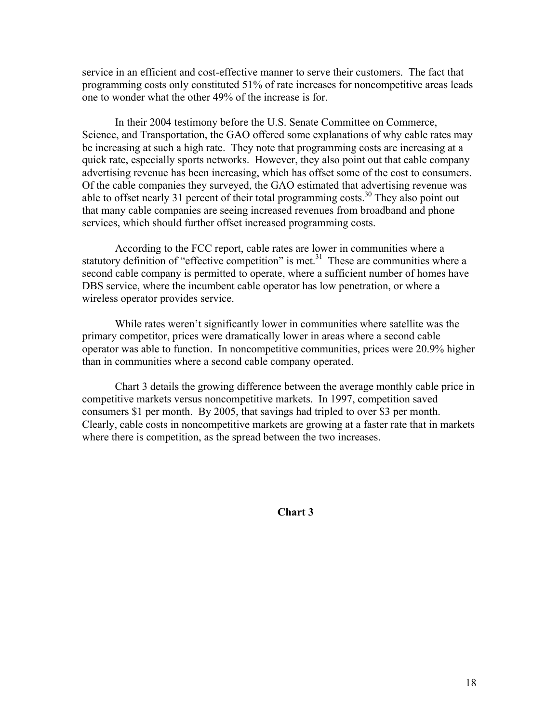service in an efficient and cost-effective manner to serve their customers. The fact that programming costs only constituted 51% of rate increases for noncompetitive areas leads one to wonder what the other 49% of the increase is for.

In their 2004 testimony before the U.S. Senate Committee on Commerce, Science, and Transportation, the GAO offered some explanations of why cable rates may be increasing at such a high rate. They note that programming costs are increasing at a quick rate, especially sports networks. However, they also point out that cable company advertising revenue has been increasing, which has offset some of the cost to consumers. Of the cable companies they surveyed, the GAO estimated that advertising revenue was able to offset nearly 31 percent of their total programming costs.<sup>30</sup> They also point out that many cable companies are seeing increased revenues from broadband and phone services, which should further offset increased programming costs.

According to the FCC report, cable rates are lower in communities where a statutory definition of "effective competition" is met.<sup>31</sup> These are communities where a second cable company is permitted to operate, where a sufficient number of homes have DBS service, where the incumbent cable operator has low penetration, or where a wireless operator provides service.

While rates weren't significantly lower in communities where satellite was the primary competitor, prices were dramatically lower in areas where a second cable operator was able to function. In noncompetitive communities, prices were 20.9% higher than in communities where a second cable company operated.

Chart 3 details the growing difference between the average monthly cable price in competitive markets versus noncompetitive markets. In 1997, competition saved consumers \$1 per month. By 2005, that savings had tripled to over \$3 per month. Clearly, cable costs in noncompetitive markets are growing at a faster rate that in markets where there is competition, as the spread between the two increases.

**Chart 3**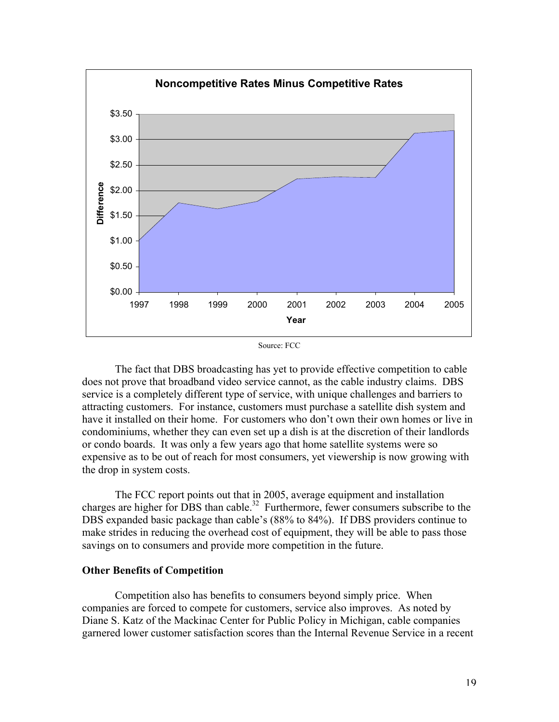

Source: FCC

The fact that DBS broadcasting has yet to provide effective competition to cable does not prove that broadband video service cannot, as the cable industry claims. DBS service is a completely different type of service, with unique challenges and barriers to attracting customers. For instance, customers must purchase a satellite dish system and have it installed on their home. For customers who don't own their own homes or live in condominiums, whether they can even set up a dish is at the discretion of their landlords or condo boards. It was only a few years ago that home satellite systems were so expensive as to be out of reach for most consumers, yet viewership is now growing with the drop in system costs.

The FCC report points out that in 2005, average equipment and installation charges are higher for DBS than cable.<sup>32</sup> Furthermore, fewer consumers subscribe to the DBS expanded basic package than cable's (88% to 84%). If DBS providers continue to make strides in reducing the overhead cost of equipment, they will be able to pass those savings on to consumers and provide more competition in the future.

#### **Other Benefits of Competition**

Competition also has benefits to consumers beyond simply price. When companies are forced to compete for customers, service also improves. As noted by Diane S. Katz of the Mackinac Center for Public Policy in Michigan, cable companies garnered lower customer satisfaction scores than the Internal Revenue Service in a recent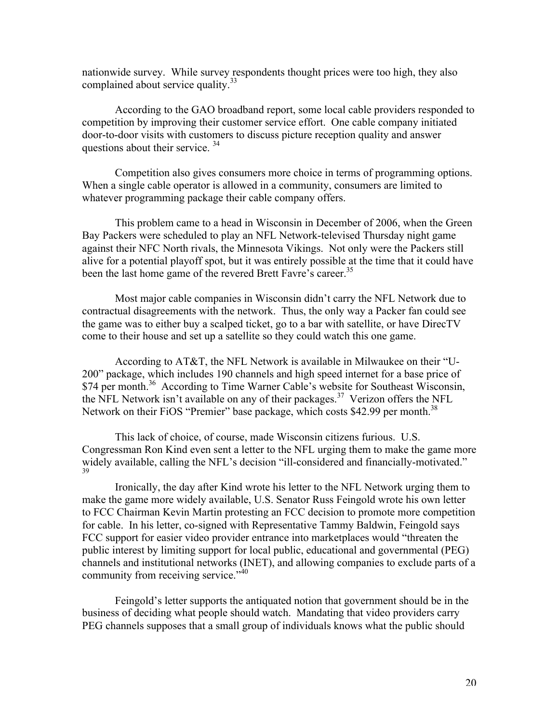nationwide survey. While survey respondents thought prices were too high, they also complained about service quality.<sup>33</sup>

According to the GAO broadband report, some local cable providers responded to competition by improving their customer service effort. One cable company initiated door-to-door visits with customers to discuss picture reception quality and answer questions about their service. <sup>34</sup>

Competition also gives consumers more choice in terms of programming options. When a single cable operator is allowed in a community, consumers are limited to whatever programming package their cable company offers.

This problem came to a head in Wisconsin in December of 2006, when the Green Bay Packers were scheduled to play an NFL Network-televised Thursday night game against their NFC North rivals, the Minnesota Vikings. Not only were the Packers still alive for a potential playoff spot, but it was entirely possible at the time that it could have been the last home game of the revered Brett Favre's career.<sup>35</sup>

Most major cable companies in Wisconsin didn't carry the NFL Network due to contractual disagreements with the network. Thus, the only way a Packer fan could see the game was to either buy a scalped ticket, go to a bar with satellite, or have DirecTV come to their house and set up a satellite so they could watch this one game.

According to AT&T, the NFL Network is available in Milwaukee on their "U-200" package, which includes 190 channels and high speed internet for a base price of \$74 per month.<sup>36</sup> According to Time Warner Cable's website for Southeast Wisconsin, the NFL Network isn't available on any of their packages.<sup>37</sup> Verizon offers the NFL Network on their FiOS "Premier" base package, which costs \$42.99 per month.<sup>38</sup>

This lack of choice, of course, made Wisconsin citizens furious. U.S. Congressman Ron Kind even sent a letter to the NFL urging them to make the game more widely available, calling the NFL's decision "ill-considered and financially-motivated." 39

Ironically, the day after Kind wrote his letter to the NFL Network urging them to make the game more widely available, U.S. Senator Russ Feingold wrote his own letter to FCC Chairman Kevin Martin protesting an FCC decision to promote more competition for cable. In his letter, co-signed with Representative Tammy Baldwin, Feingold says FCC support for easier video provider entrance into marketplaces would "threaten the public interest by limiting support for local public, educational and governmental (PEG) channels and institutional networks (INET), and allowing companies to exclude parts of a community from receiving service."<sup>40</sup>

Feingold's letter supports the antiquated notion that government should be in the business of deciding what people should watch. Mandating that video providers carry PEG channels supposes that a small group of individuals knows what the public should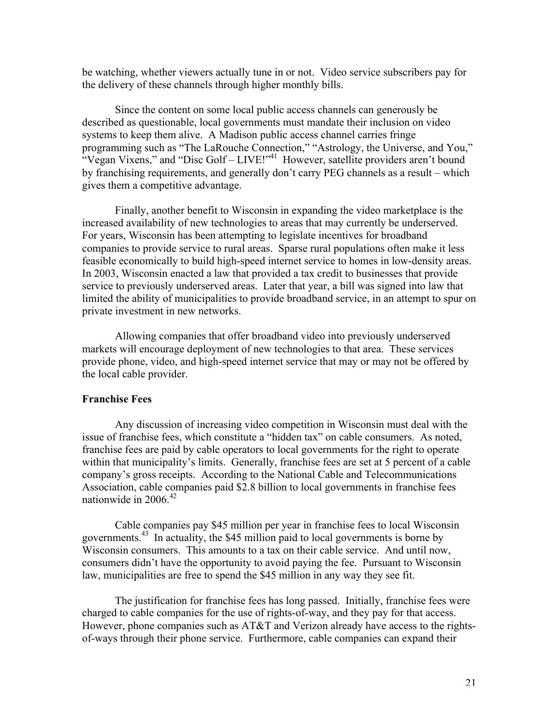be watching, whether viewers actually tune in or not. Video service subscribers pay for the delivery of these channels through higher monthly bills.

Since the content on some local public access channels can generously be described as questionable, local governments must mandate their inclusion on video systems to keep them alive. A Madison public access channel carries fringe programming such as "The LaRouche Connection," "Astrology, the Universe, and You," "Vegan Vixens," and "Disc Golf –  $LIVE!$ "<sup>41</sup> However, satellite providers aren't bound by franchising requirements, and generally don't carry PEG channels as a result – which gives them a competitive advantage.

Finally, another benefit to Wisconsin in expanding the video marketplace is the increased availability of new technologies to areas that may currently be underserved. For years, Wisconsin has been attempting to legislate incentives for broadband companies to provide service to rural areas. Sparse rural populations often make it less feasible economically to build high-speed internet service to homes in low-density areas. In 2003, Wisconsin enacted a law that provided a tax credit to businesses that provide service to previously underserved areas. Later that year, a bill was signed into law that limited the ability of municipalities to provide broadband service, in an attempt to spur on private investment in new networks.

Allowing companies that offer broadband video into previously underserved markets will encourage deployment of new technologies to that area. These services provide phone, video, and high-speed internet service that may or may not be offered by the local cable provider.

#### **Franchise Fees**

Any discussion of increasing video competition in Wisconsin must deal with the issue of franchise fees, which constitute a "hidden tax" on cable consumers. As noted, franchise fees are paid by cable operators to local governments for the right to operate within that municipality's limits. Generally, franchise fees are set at 5 percent of a cable company's gross receipts. According to the National Cable and Telecommunications Association, cable companies paid \$2.8 billion to local governments in franchise fees nationwide in  $2006<sup>42</sup>$ 

Cable companies pay \$45 million per year in franchise fees to local Wisconsin governments.<sup>43</sup> In actuality, the \$45 million paid to local governments is borne by Wisconsin consumers. This amounts to a tax on their cable service. And until now, consumers didn't have the opportunity to avoid paying the fee. Pursuant to Wisconsin law, municipalities are free to spend the \$45 million in any way they see fit.

The justification for franchise fees has long passed. Initially, franchise fees were charged to cable companies for the use of rights-of-way, and they pay for that access. However, phone companies such as AT&T and Verizon already have access to the rightsof-ways through their phone service. Furthermore, cable companies can expand their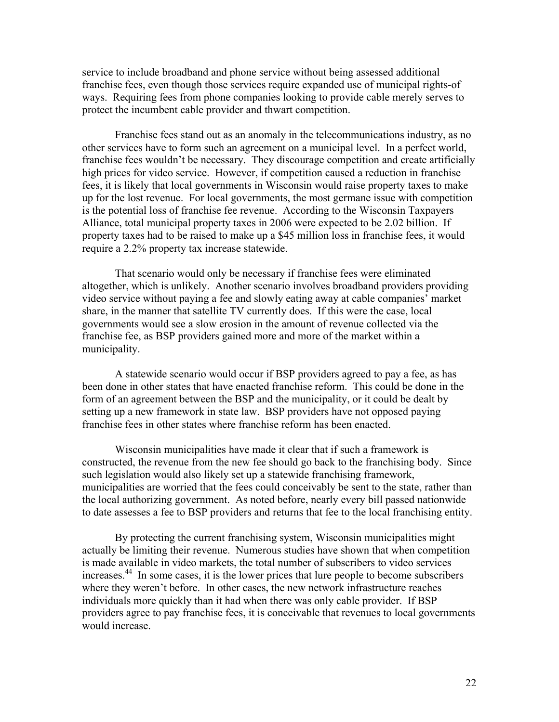service to include broadband and phone service without being assessed additional franchise fees, even though those services require expanded use of municipal rights-of ways. Requiring fees from phone companies looking to provide cable merely serves to protect the incumbent cable provider and thwart competition.

Franchise fees stand out as an anomaly in the telecommunications industry, as no other services have to form such an agreement on a municipal level. In a perfect world, franchise fees wouldn't be necessary. They discourage competition and create artificially high prices for video service. However, if competition caused a reduction in franchise fees, it is likely that local governments in Wisconsin would raise property taxes to make up for the lost revenue. For local governments, the most germane issue with competition is the potential loss of franchise fee revenue. According to the Wisconsin Taxpayers Alliance, total municipal property taxes in 2006 were expected to be 2.02 billion. If property taxes had to be raised to make up a \$45 million loss in franchise fees, it would require a 2.2% property tax increase statewide.

That scenario would only be necessary if franchise fees were eliminated altogether, which is unlikely. Another scenario involves broadband providers providing video service without paying a fee and slowly eating away at cable companies' market share, in the manner that satellite TV currently does. If this were the case, local governments would see a slow erosion in the amount of revenue collected via the franchise fee, as BSP providers gained more and more of the market within a municipality.

A statewide scenario would occur if BSP providers agreed to pay a fee, as has been done in other states that have enacted franchise reform. This could be done in the form of an agreement between the BSP and the municipality, or it could be dealt by setting up a new framework in state law. BSP providers have not opposed paying franchise fees in other states where franchise reform has been enacted.

Wisconsin municipalities have made it clear that if such a framework is constructed, the revenue from the new fee should go back to the franchising body. Since such legislation would also likely set up a statewide franchising framework, municipalities are worried that the fees could conceivably be sent to the state, rather than the local authorizing government. As noted before, nearly every bill passed nationwide to date assesses a fee to BSP providers and returns that fee to the local franchising entity.

By protecting the current franchising system, Wisconsin municipalities might actually be limiting their revenue. Numerous studies have shown that when competition is made available in video markets, the total number of subscribers to video services increases.<sup>44</sup> In some cases, it is the lower prices that lure people to become subscribers where they weren't before. In other cases, the new network infrastructure reaches individuals more quickly than it had when there was only cable provider. If BSP providers agree to pay franchise fees, it is conceivable that revenues to local governments would increase.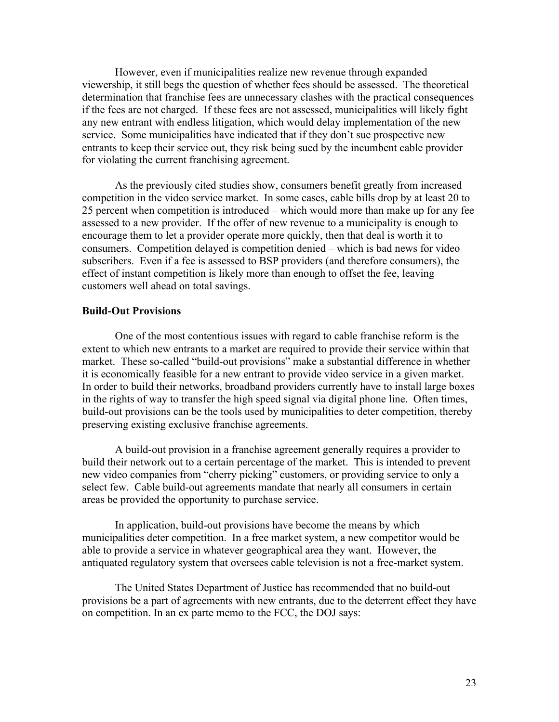However, even if municipalities realize new revenue through expanded viewership, it still begs the question of whether fees should be assessed. The theoretical determination that franchise fees are unnecessary clashes with the practical consequences if the fees are not charged. If these fees are not assessed, municipalities will likely fight any new entrant with endless litigation, which would delay implementation of the new service. Some municipalities have indicated that if they don't sue prospective new entrants to keep their service out, they risk being sued by the incumbent cable provider for violating the current franchising agreement.

As the previously cited studies show, consumers benefit greatly from increased competition in the video service market. In some cases, cable bills drop by at least 20 to 25 percent when competition is introduced – which would more than make up for any fee assessed to a new provider. If the offer of new revenue to a municipality is enough to encourage them to let a provider operate more quickly, then that deal is worth it to consumers. Competition delayed is competition denied – which is bad news for video subscribers. Even if a fee is assessed to BSP providers (and therefore consumers), the effect of instant competition is likely more than enough to offset the fee, leaving customers well ahead on total savings.

#### **Build-Out Provisions**

One of the most contentious issues with regard to cable franchise reform is the extent to which new entrants to a market are required to provide their service within that market. These so-called "build-out provisions" make a substantial difference in whether it is economically feasible for a new entrant to provide video service in a given market. In order to build their networks, broadband providers currently have to install large boxes in the rights of way to transfer the high speed signal via digital phone line. Often times, build-out provisions can be the tools used by municipalities to deter competition, thereby preserving existing exclusive franchise agreements.

A build-out provision in a franchise agreement generally requires a provider to build their network out to a certain percentage of the market. This is intended to prevent new video companies from "cherry picking" customers, or providing service to only a select few. Cable build-out agreements mandate that nearly all consumers in certain areas be provided the opportunity to purchase service.

In application, build-out provisions have become the means by which municipalities deter competition. In a free market system, a new competitor would be able to provide a service in whatever geographical area they want. However, the antiquated regulatory system that oversees cable television is not a free-market system.

The United States Department of Justice has recommended that no build-out provisions be a part of agreements with new entrants, due to the deterrent effect they have on competition. In an ex parte memo to the FCC, the DOJ says: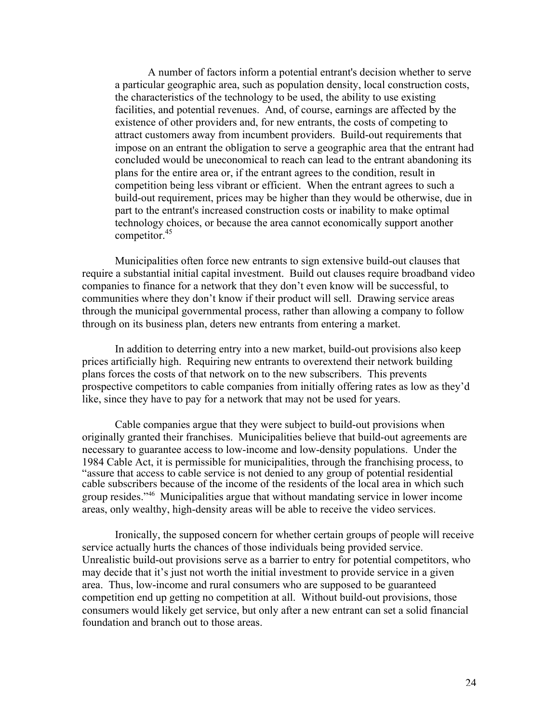A number of factors inform a potential entrant's decision whether to serve a particular geographic area, such as population density, local construction costs, the characteristics of the technology to be used, the ability to use existing facilities, and potential revenues. And, of course, earnings are affected by the existence of other providers and, for new entrants, the costs of competing to attract customers away from incumbent providers. Build-out requirements that impose on an entrant the obligation to serve a geographic area that the entrant had concluded would be uneconomical to reach can lead to the entrant abandoning its plans for the entire area or, if the entrant agrees to the condition, result in competition being less vibrant or efficient. When the entrant agrees to such a build-out requirement, prices may be higher than they would be otherwise, due in part to the entrant's increased construction costs or inability to make optimal technology choices, or because the area cannot economically support another competitor.<sup>45</sup>

Municipalities often force new entrants to sign extensive build-out clauses that require a substantial initial capital investment. Build out clauses require broadband video companies to finance for a network that they don't even know will be successful, to communities where they don't know if their product will sell. Drawing service areas through the municipal governmental process, rather than allowing a company to follow through on its business plan, deters new entrants from entering a market.

In addition to deterring entry into a new market, build-out provisions also keep prices artificially high. Requiring new entrants to overextend their network building plans forces the costs of that network on to the new subscribers. This prevents prospective competitors to cable companies from initially offering rates as low as they'd like, since they have to pay for a network that may not be used for years.

Cable companies argue that they were subject to build-out provisions when originally granted their franchises. Municipalities believe that build-out agreements are necessary to guarantee access to low-income and low-density populations. Under the 1984 Cable Act, it is permissible for municipalities, through the franchising process, to "assure that access to cable service is not denied to any group of potential residential cable subscribers because of the income of the residents of the local area in which such group resides."<sup>46</sup> Municipalities argue that without mandating service in lower income areas, only wealthy, high-density areas will be able to receive the video services.

Ironically, the supposed concern for whether certain groups of people will receive service actually hurts the chances of those individuals being provided service. Unrealistic build-out provisions serve as a barrier to entry for potential competitors, who may decide that it's just not worth the initial investment to provide service in a given area. Thus, low-income and rural consumers who are supposed to be guaranteed competition end up getting no competition at all. Without build-out provisions, those consumers would likely get service, but only after a new entrant can set a solid financial foundation and branch out to those areas.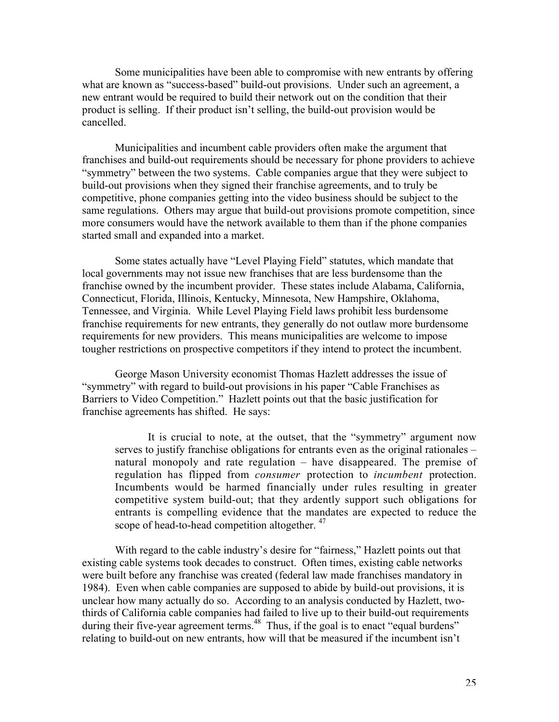Some municipalities have been able to compromise with new entrants by offering what are known as "success-based" build-out provisions. Under such an agreement, a new entrant would be required to build their network out on the condition that their product is selling. If their product isn't selling, the build-out provision would be cancelled.

Municipalities and incumbent cable providers often make the argument that franchises and build-out requirements should be necessary for phone providers to achieve "symmetry" between the two systems. Cable companies argue that they were subject to build-out provisions when they signed their franchise agreements, and to truly be competitive, phone companies getting into the video business should be subject to the same regulations. Others may argue that build-out provisions promote competition, since more consumers would have the network available to them than if the phone companies started small and expanded into a market.

Some states actually have "Level Playing Field" statutes, which mandate that local governments may not issue new franchises that are less burdensome than the franchise owned by the incumbent provider. These states include Alabama, California, Connecticut, Florida, Illinois, Kentucky, Minnesota, New Hampshire, Oklahoma, Tennessee, and Virginia. While Level Playing Field laws prohibit less burdensome franchise requirements for new entrants, they generally do not outlaw more burdensome requirements for new providers. This means municipalities are welcome to impose tougher restrictions on prospective competitors if they intend to protect the incumbent.

George Mason University economist Thomas Hazlett addresses the issue of "symmetry" with regard to build-out provisions in his paper "Cable Franchises as Barriers to Video Competition." Hazlett points out that the basic justification for franchise agreements has shifted. He says:

It is crucial to note, at the outset, that the "symmetry" argument now serves to justify franchise obligations for entrants even as the original rationales – natural monopoly and rate regulation – have disappeared. The premise of regulation has flipped from *consumer* protection to *incumbent* protection. Incumbents would be harmed financially under rules resulting in greater competitive system build-out; that they ardently support such obligations for entrants is compelling evidence that the mandates are expected to reduce the scope of head-to-head competition altogether. <sup>47</sup>

With regard to the cable industry's desire for "fairness," Hazlett points out that existing cable systems took decades to construct. Often times, existing cable networks were built before any franchise was created (federal law made franchises mandatory in 1984). Even when cable companies are supposed to abide by build-out provisions, it is unclear how many actually do so. According to an analysis conducted by Hazlett, twothirds of California cable companies had failed to live up to their build-out requirements during their five-year agreement terms.<sup>48</sup> Thus, if the goal is to enact "equal burdens" relating to build-out on new entrants, how will that be measured if the incumbent isn't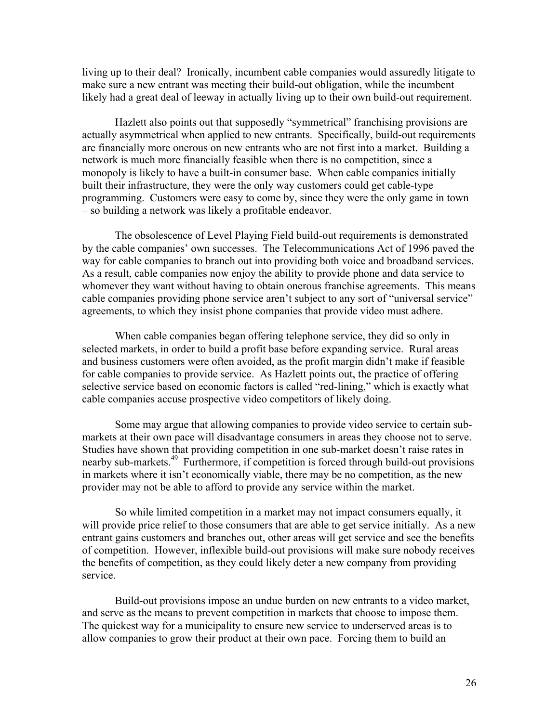living up to their deal? Ironically, incumbent cable companies would assuredly litigate to make sure a new entrant was meeting their build-out obligation, while the incumbent likely had a great deal of leeway in actually living up to their own build-out requirement.

Hazlett also points out that supposedly "symmetrical" franchising provisions are actually asymmetrical when applied to new entrants. Specifically, build-out requirements are financially more onerous on new entrants who are not first into a market. Building a network is much more financially feasible when there is no competition, since a monopoly is likely to have a built-in consumer base. When cable companies initially built their infrastructure, they were the only way customers could get cable-type programming. Customers were easy to come by, since they were the only game in town – so building a network was likely a profitable endeavor.

The obsolescence of Level Playing Field build-out requirements is demonstrated by the cable companies' own successes. The Telecommunications Act of 1996 paved the way for cable companies to branch out into providing both voice and broadband services. As a result, cable companies now enjoy the ability to provide phone and data service to whomever they want without having to obtain onerous franchise agreements. This means cable companies providing phone service aren't subject to any sort of "universal service" agreements, to which they insist phone companies that provide video must adhere.

When cable companies began offering telephone service, they did so only in selected markets, in order to build a profit base before expanding service. Rural areas and business customers were often avoided, as the profit margin didn't make if feasible for cable companies to provide service. As Hazlett points out, the practice of offering selective service based on economic factors is called "red-lining," which is exactly what cable companies accuse prospective video competitors of likely doing.

Some may argue that allowing companies to provide video service to certain submarkets at their own pace will disadvantage consumers in areas they choose not to serve. Studies have shown that providing competition in one sub-market doesn't raise rates in nearby sub-markets.<sup>49</sup> Furthermore, if competition is forced through build-out provisions in markets where it isn't economically viable, there may be no competition, as the new provider may not be able to afford to provide any service within the market.

So while limited competition in a market may not impact consumers equally, it will provide price relief to those consumers that are able to get service initially. As a new entrant gains customers and branches out, other areas will get service and see the benefits of competition. However, inflexible build-out provisions will make sure nobody receives the benefits of competition, as they could likely deter a new company from providing service.

Build-out provisions impose an undue burden on new entrants to a video market, and serve as the means to prevent competition in markets that choose to impose them. The quickest way for a municipality to ensure new service to underserved areas is to allow companies to grow their product at their own pace. Forcing them to build an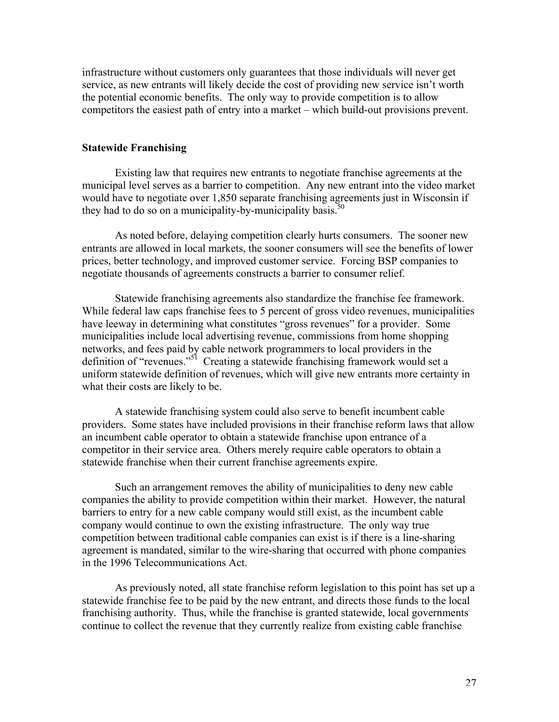infrastructure without customers only guarantees that those individuals will never get service, as new entrants will likely decide the cost of providing new service isn't worth the potential economic benefits. The only way to provide competition is to allow competitors the easiest path of entry into a market – which build-out provisions prevent.

### **Statewide Franchising**

Existing law that requires new entrants to negotiate franchise agreements at the municipal level serves as a barrier to competition. Any new entrant into the video market would have to negotiate over 1,850 separate franchising agreements just in Wisconsin if they had to do so on a municipality-by-municipality basis.<sup>50</sup>

As noted before, delaying competition clearly hurts consumers. The sooner new entrants are allowed in local markets, the sooner consumers will see the benefits of lower prices, better technology, and improved customer service. Forcing BSP companies to negotiate thousands of agreements constructs a barrier to consumer relief.

Statewide franchising agreements also standardize the franchise fee framework. While federal law caps franchise fees to 5 percent of gross video revenues, municipalities have leeway in determining what constitutes "gross revenues" for a provider. Some municipalities include local advertising revenue, commissions from home shopping networks, and fees paid by cable network programmers to local providers in the definition of "revenues."<sup>51</sup> Creating a statewide franchising framework would set a uniform statewide definition of revenues, which will give new entrants more certainty in what their costs are likely to be.

A statewide franchising system could also serve to benefit incumbent cable providers. Some states have included provisions in their franchise reform laws that allow an incumbent cable operator to obtain a statewide franchise upon entrance of a competitor in their service area. Others merely require cable operators to obtain a statewide franchise when their current franchise agreements expire.

Such an arrangement removes the ability of municipalities to deny new cable companies the ability to provide competition within their market. However, the natural barriers to entry for a new cable company would still exist, as the incumbent cable company would continue to own the existing infrastructure. The only way true competition between traditional cable companies can exist is if there is a line-sharing agreement is mandated, similar to the wire-sharing that occurred with phone companies in the 1996 Telecommunications Act.

As previously noted, all state franchise reform legislation to this point has set up a statewide franchise fee to be paid by the new entrant, and directs those funds to the local franchising authority. Thus, while the franchise is granted statewide, local governments continue to collect the revenue that they currently realize from existing cable franchise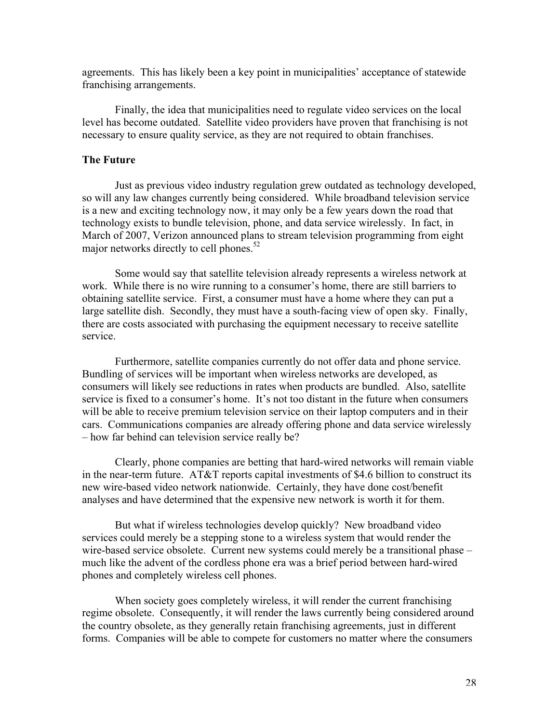agreements. This has likely been a key point in municipalities' acceptance of statewide franchising arrangements.

Finally, the idea that municipalities need to regulate video services on the local level has become outdated. Satellite video providers have proven that franchising is not necessary to ensure quality service, as they are not required to obtain franchises.

#### **The Future**

Just as previous video industry regulation grew outdated as technology developed, so will any law changes currently being considered. While broadband television service is a new and exciting technology now, it may only be a few years down the road that technology exists to bundle television, phone, and data service wirelessly. In fact, in March of 2007, Verizon announced plans to stream television programming from eight major networks directly to cell phones.<sup>52</sup>

Some would say that satellite television already represents a wireless network at work. While there is no wire running to a consumer's home, there are still barriers to obtaining satellite service. First, a consumer must have a home where they can put a large satellite dish. Secondly, they must have a south-facing view of open sky. Finally, there are costs associated with purchasing the equipment necessary to receive satellite service.

Furthermore, satellite companies currently do not offer data and phone service. Bundling of services will be important when wireless networks are developed, as consumers will likely see reductions in rates when products are bundled. Also, satellite service is fixed to a consumer's home. It's not too distant in the future when consumers will be able to receive premium television service on their laptop computers and in their cars. Communications companies are already offering phone and data service wirelessly – how far behind can television service really be?

Clearly, phone companies are betting that hard-wired networks will remain viable in the near-term future. AT&T reports capital investments of \$4.6 billion to construct its new wire-based video network nationwide. Certainly, they have done cost/benefit analyses and have determined that the expensive new network is worth it for them.

But what if wireless technologies develop quickly? New broadband video services could merely be a stepping stone to a wireless system that would render the wire-based service obsolete. Current new systems could merely be a transitional phase – much like the advent of the cordless phone era was a brief period between hard-wired phones and completely wireless cell phones.

When society goes completely wireless, it will render the current franchising regime obsolete. Consequently, it will render the laws currently being considered around the country obsolete, as they generally retain franchising agreements, just in different forms. Companies will be able to compete for customers no matter where the consumers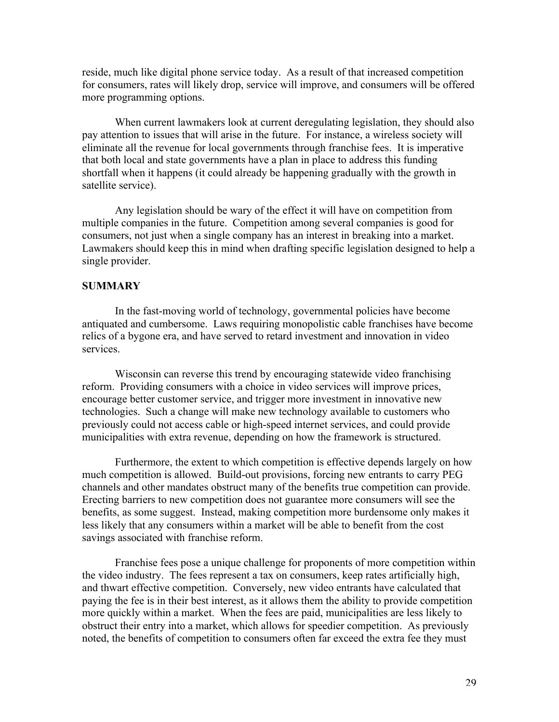reside, much like digital phone service today. As a result of that increased competition for consumers, rates will likely drop, service will improve, and consumers will be offered more programming options.

When current lawmakers look at current deregulating legislation, they should also pay attention to issues that will arise in the future. For instance, a wireless society will eliminate all the revenue for local governments through franchise fees. It is imperative that both local and state governments have a plan in place to address this funding shortfall when it happens (it could already be happening gradually with the growth in satellite service).

Any legislation should be wary of the effect it will have on competition from multiple companies in the future. Competition among several companies is good for consumers, not just when a single company has an interest in breaking into a market. Lawmakers should keep this in mind when drafting specific legislation designed to help a single provider.

## **SUMMARY**

In the fast-moving world of technology, governmental policies have become antiquated and cumbersome. Laws requiring monopolistic cable franchises have become relics of a bygone era, and have served to retard investment and innovation in video services.

Wisconsin can reverse this trend by encouraging statewide video franchising reform. Providing consumers with a choice in video services will improve prices, encourage better customer service, and trigger more investment in innovative new technologies. Such a change will make new technology available to customers who previously could not access cable or high-speed internet services, and could provide municipalities with extra revenue, depending on how the framework is structured.

Furthermore, the extent to which competition is effective depends largely on how much competition is allowed. Build-out provisions, forcing new entrants to carry PEG channels and other mandates obstruct many of the benefits true competition can provide. Erecting barriers to new competition does not guarantee more consumers will see the benefits, as some suggest. Instead, making competition more burdensome only makes it less likely that any consumers within a market will be able to benefit from the cost savings associated with franchise reform.

Franchise fees pose a unique challenge for proponents of more competition within the video industry. The fees represent a tax on consumers, keep rates artificially high, and thwart effective competition. Conversely, new video entrants have calculated that paying the fee is in their best interest, as it allows them the ability to provide competition more quickly within a market. When the fees are paid, municipalities are less likely to obstruct their entry into a market, which allows for speedier competition. As previously noted, the benefits of competition to consumers often far exceed the extra fee they must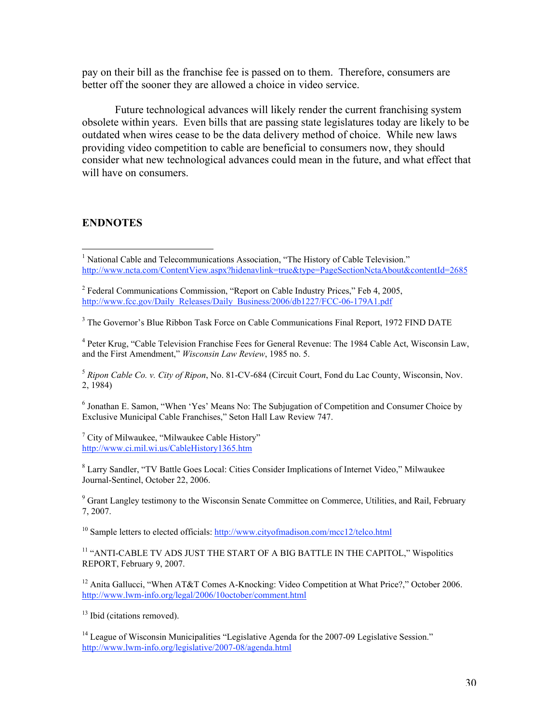pay on their bill as the franchise fee is passed on to them. Therefore, consumers are better off the sooner they are allowed a choice in video service.

Future technological advances will likely render the current franchising system obsolete within years. Even bills that are passing state legislatures today are likely to be outdated when wires cease to be the data delivery method of choice. While new laws providing video competition to cable are beneficial to consumers now, they should consider what new technological advances could mean in the future, and what effect that will have on consumers.

## **ENDNOTES**

<sup>6</sup> Jonathan E. Samon, "When 'Yes' Means No: The Subjugation of Competition and Consumer Choice by Exclusive Municipal Cable Franchises," Seton Hall Law Review 747.

 $7$  City of Milwaukee, "Milwaukee Cable History" http://www.ci.mil.wi.us/CableHistory1365.htm

<sup>8</sup> Larry Sandler, "TV Battle Goes Local: Cities Consider Implications of Internet Video," Milwaukee Journal-Sentinel, October 22, 2006.

<sup>9</sup> Grant Langley testimony to the Wisconsin Senate Committee on Commerce, Utilities, and Rail, February 7, 2007.

<sup>10</sup> Sample letters to elected officials: http://www.cityofmadison.com/mcc12/telco.html

<sup>11</sup> "ANTI-CABLE TV ADS JUST THE START OF A BIG BATTLE IN THE CAPITOL," Wispolitics REPORT, February 9, 2007.

<sup>12</sup> Anita Gallucci, "When AT&T Comes A-Knocking: Video Competition at What Price?," October 2006. http://www.lwm-info.org/legal/2006/10october/comment.html

<sup>13</sup> Ibid (citations removed).

 $\frac{1}{1}$ <sup>1</sup> National Cable and Telecommunications Association, "The History of Cable Television." http://www.ncta.com/ContentView.aspx?hidenavlink=true&type=PageSectionNctaAbout&contentId=2685

 $2^2$  Federal Communications Commission, "Report on Cable Industry Prices," Feb 4, 2005, http://www.fcc.gov/Daily\_Releases/Daily\_Business/2006/db1227/FCC-06-179A1.pdf

<sup>&</sup>lt;sup>3</sup> The Governor's Blue Ribbon Task Force on Cable Communications Final Report, 1972 FIND DATE

<sup>&</sup>lt;sup>4</sup> Peter Krug, "Cable Television Franchise Fees for General Revenue: The 1984 Cable Act, Wisconsin Law, and the First Amendment," *Wisconsin Law Review*, 1985 no. 5.

<sup>5</sup> *Ripon Cable Co. v. City of Ripon*, No. 81-CV-684 (Circuit Court, Fond du Lac County, Wisconsin, Nov. 2, 1984)

<sup>&</sup>lt;sup>14</sup> League of Wisconsin Municipalities "Legislative Agenda for the 2007-09 Legislative Session." http://www.lwm-info.org/legislative/2007-08/agenda.html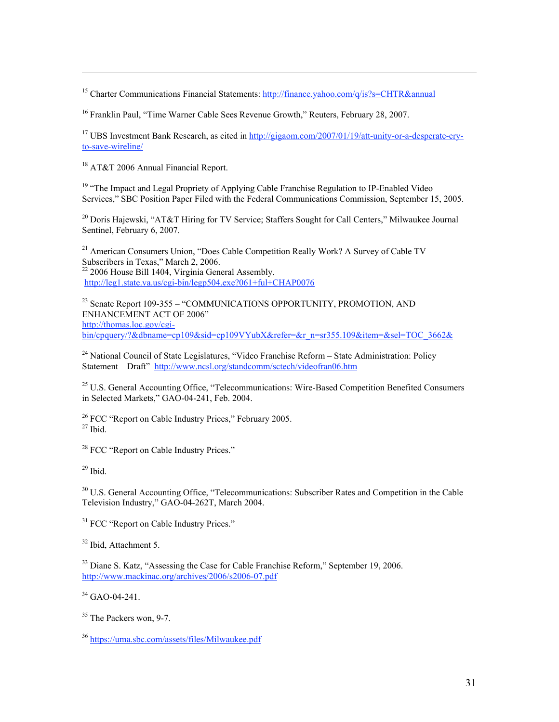<sup>15</sup> Charter Communications Financial Statements: http://finance.yahoo.com/q/is?s=CHTR&annual

<sup>16</sup> Franklin Paul, "Time Warner Cable Sees Revenue Growth," Reuters, February 28, 2007.

<sup>17</sup> UBS Investment Bank Research, as cited in http://gigaom.com/2007/01/19/att-unity-or-a-desperate-cryto-save-wireline/

<sup>18</sup> AT&T 2006 Annual Financial Report.

<sup>19</sup> "The Impact and Legal Propriety of Applying Cable Franchise Regulation to IP-Enabled Video Services," SBC Position Paper Filed with the Federal Communications Commission, September 15, 2005.

<sup>20</sup> Doris Hajewski, "AT&T Hiring for TV Service; Staffers Sought for Call Centers," Milwaukee Journal Sentinel, February 6, 2007.

<sup>21</sup> American Consumers Union, "Does Cable Competition Really Work? A Survey of Cable TV Subscribers in Texas," March 2, 2006. <sup>22</sup> 2006 House Bill 1404, Virginia General Assembly. http://leg1.state.va.us/cgi-bin/legp504.exe?061+ful+CHAP0076

<sup>23</sup> Senate Report 109-355 – "COMMUNICATIONS OPPORTUNITY, PROMOTION, AND ENHANCEMENT ACT OF 2006" http://thomas.loc.gov/cgi- $\frac{m_1}{m_2}$  and  $\frac{m_2}{m_3}$  and  $\frac{m_3}{m_4}$  and  $\frac{m_4}{m_5}$  and  $\frac{m_5}{m_5}$  are  $\frac{m_6}{m_5}$  and  $\frac{m_7}{m_6}$  and  $\frac{m_7}{m_7}$  and  $\frac{m_8}{m_7}$  and  $\frac{m_9}{m_7}$  and  $\frac{m_9}{m_7}$  and  $\frac{m_8}{m_7}$  and  $\frac{m$ 

<sup>24</sup> National Council of State Legislatures, "Video Franchise Reform - State Administration: Policy Statement – Draft" http://www.ncsl.org/standcomm/sctech/videofran06.htm

<sup>25</sup> U.S. General Accounting Office, "Telecommunications: Wire-Based Competition Benefited Consumers in Selected Markets," GAO-04-241, Feb. 2004.

 $26$  FCC "Report on Cable Industry Prices," February 2005.  $27$  Ibid.

<sup>28</sup> FCC "Report on Cable Industry Prices."

 $29$  Ibid.

 $\overline{a}$ 

<sup>30</sup> U.S. General Accounting Office, "Telecommunications: Subscriber Rates and Competition in the Cable Television Industry," GAO-04-262T, March 2004.

<sup>31</sup> FCC "Report on Cable Industry Prices."

<sup>32</sup> Ibid, Attachment 5.

<sup>33</sup> Diane S. Katz, "Assessing the Case for Cable Franchise Reform," September 19, 2006. http://www.mackinac.org/archives/2006/s2006-07.pdf

 $34$  GAO-04-241.

<sup>35</sup> The Packers won, 9-7.

<sup>36</sup> https://uma.sbc.com/assets/files/Milwaukee.pdf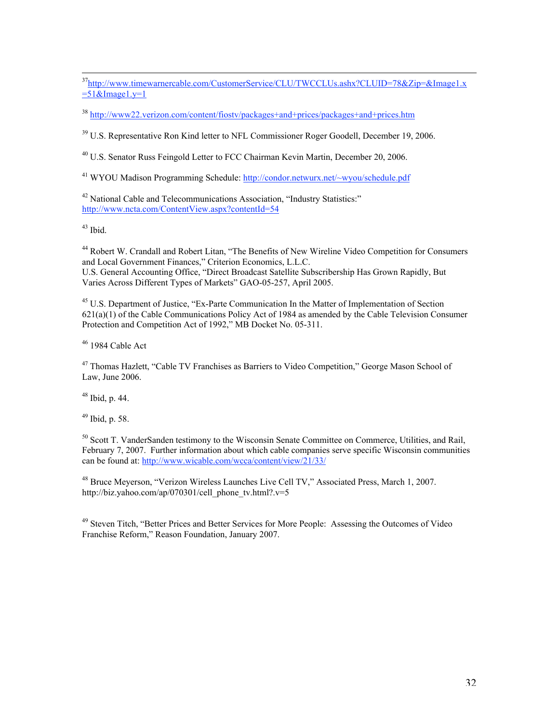<sup>37</sup>http://www.timewarnercable.com/CustomerService/CLU/TWCCLUs.ashx?CLUID=78&Zip=&Image1.x  $=51$ &Image $1.y=1$ 

<sup>38</sup> http://www22.verizon.com/content/fiostv/packages+and+prices/packages+and+prices.htm

<sup>39</sup> U.S. Representative Ron Kind letter to NFL Commissioner Roger Goodell, December 19, 2006.

<sup>40</sup> U.S. Senator Russ Feingold Letter to FCC Chairman Kevin Martin, December 20, 2006.

<sup>41</sup> WYOU Madison Programming Schedule: http://condor.netwurx.net/~wyou/schedule.pdf

<sup>42</sup> National Cable and Telecommunications Association, "Industry Statistics:" http://www.ncta.com/ContentView.aspx?contentId=54

 $43$  Ibid.

<sup>44</sup> Robert W. Crandall and Robert Litan, "The Benefits of New Wireline Video Competition for Consumers and Local Government Finances," Criterion Economics, L.L.C.

U.S. General Accounting Office, "Direct Broadcast Satellite Subscribership Has Grown Rapidly, But Varies Across Different Types of Markets" GAO-05-257, April 2005.

<sup>45</sup> U.S. Department of Justice, "Ex-Parte Communication In the Matter of Implementation of Section 621(a)(1) of the Cable Communications Policy Act of 1984 as amended by the Cable Television Consumer Protection and Competition Act of 1992," MB Docket No. 05-311.

<sup>46</sup> 1984 Cable Act

<sup>47</sup> Thomas Hazlett, "Cable TV Franchises as Barriers to Video Competition," George Mason School of Law, June 2006.

 $48$  Ibid, p. 44.

 $49$  Ibid, p. 58.

<sup>50</sup> Scott T. VanderSanden testimony to the Wisconsin Senate Committee on Commerce, Utilities, and Rail, February 7, 2007. Further information about which cable companies serve specific Wisconsin communities can be found at: http://www.wicable.com/wcca/content/view/21/33/

<sup>48</sup> Bruce Meyerson, "Verizon Wireless Launches Live Cell TV," Associated Press, March 1, 2007. http://biz.yahoo.com/ap/070301/cell\_phone\_tv.html?.v=5

<sup>49</sup> Steven Titch, "Better Prices and Better Services for More People: Assessing the Outcomes of Video Franchise Reform," Reason Foundation, January 2007.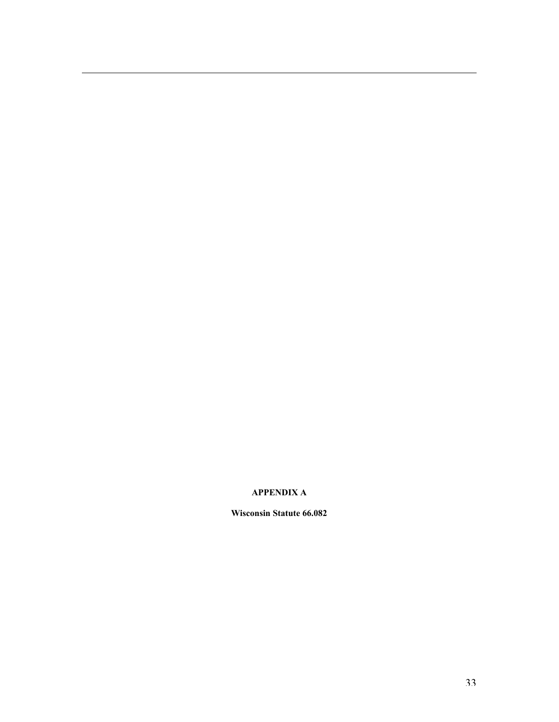#### **APPENDIX A**

 $\overline{a}$ 

**Wisconsin Statute 66.082**